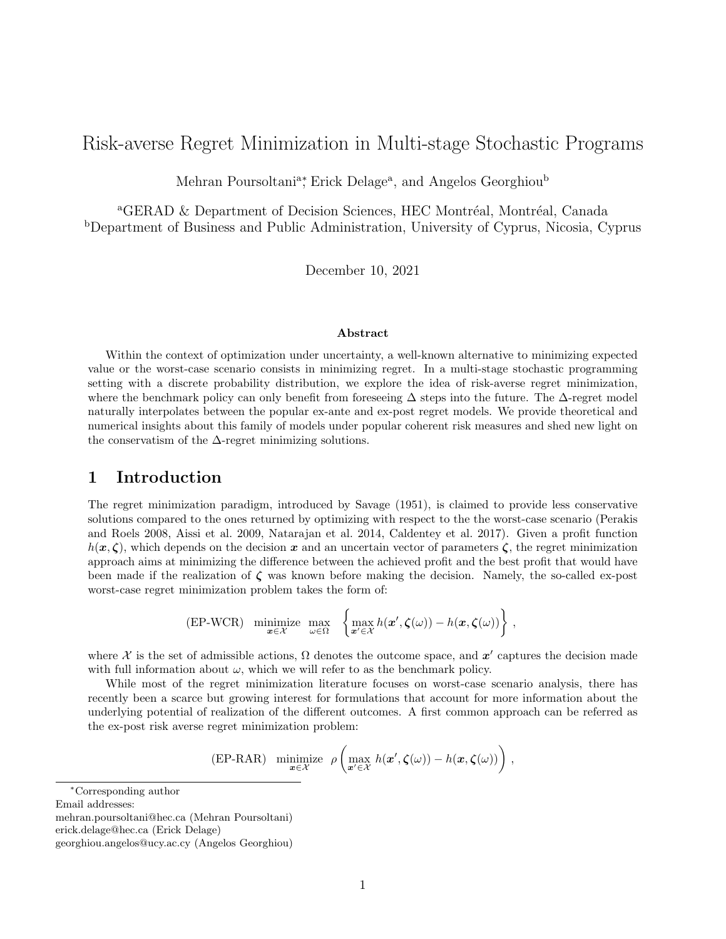# Risk-averse Regret Minimization in Multi-stage Stochastic Programs

Mehran Poursoltani<sup>a</sup><sup>\*</sup>, Erick Delage<sup>a</sup>, and Angelos Georghiou<sup>b</sup>

<sup>a</sup>GERAD & Department of Decision Sciences, HEC Montréal, Montréal, Canada <sup>b</sup>Department of Business and Public Administration, University of Cyprus, Nicosia, Cyprus

December 10, 2021

### Abstract

Within the context of optimization under uncertainty, a well-known alternative to minimizing expected value or the worst-case scenario consists in minimizing regret. In a multi-stage stochastic programming setting with a discrete probability distribution, we explore the idea of risk-averse regret minimization, where the benchmark policy can only benefit from foreseeing  $\Delta$  steps into the future. The  $\Delta$ -regret model naturally interpolates between the popular ex-ante and ex-post regret models. We provide theoretical and numerical insights about this family of models under popular coherent risk measures and shed new light on the conservatism of the  $\Delta$ -regret minimizing solutions.

## 1 Introduction

The regret minimization paradigm, introduced by Savage (1951), is claimed to provide less conservative solutions compared to the ones returned by optimizing with respect to the the worst-case scenario (Perakis and Roels 2008, Aissi et al. 2009, Natarajan et al. 2014, Caldentey et al. 2017). Given a profit function  $h(x, \zeta)$ , which depends on the decision x and an uncertain vector of parameters  $\zeta$ , the regret minimization approach aims at minimizing the difference between the achieved profit and the best profit that would have been made if the realization of  $\zeta$  was known before making the decision. Namely, the so-called ex-post worst-case regret minimization problem takes the form of:

$$
\text{(EP-WCR)} \quad \underset{\mathbf{x}\in\mathcal{X}}{\text{minimize}} \quad \underset{\omega\in\Omega}{\text{max}} \quad \left\{\underset{\mathbf{x}'\in\mathcal{X}}{\text{max}} \, h(\mathbf{x}',\boldsymbol{\zeta}(\omega)) - h(\mathbf{x},\boldsymbol{\zeta}(\omega))\right\}\,,
$$

where X is the set of admissible actions,  $\Omega$  denotes the outcome space, and  $x'$  captures the decision made with full information about  $\omega$ , which we will refer to as the benchmark policy.

While most of the regret minimization literature focuses on worst-case scenario analysis, there has recently been a scarce but growing interest for formulations that account for more information about the underlying potential of realization of the different outcomes. A first common approach can be referred as the ex-post risk averse regret minimization problem:

(EP-RAR) minimize 
$$
\rho \left( \max_{\mathbf{x}' \in \mathcal{X}} h(\mathbf{x}', \zeta(\omega)) - h(\mathbf{x}, \zeta(\omega)) \right)
$$
,

<sup>∗</sup>Corresponding author

Email addresses:

mehran.poursoltani@hec.ca (Mehran Poursoltani)

erick.delage@hec.ca (Erick Delage)

georghiou.angelos@ucy.ac.cy (Angelos Georghiou)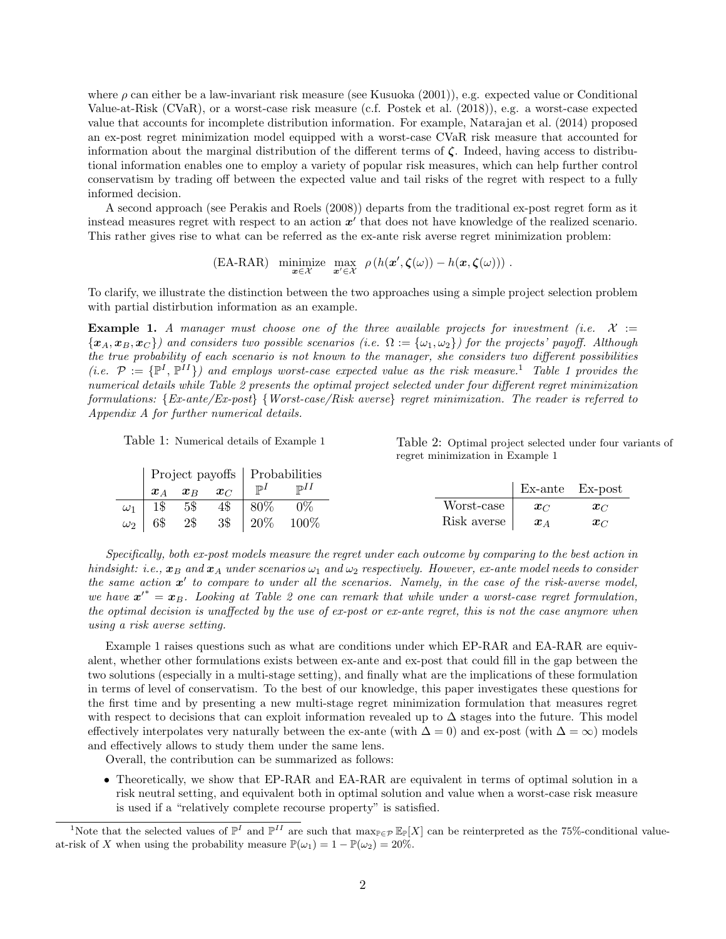where  $\rho$  can either be a law-invariant risk measure (see Kusuoka (2001)), e.g. expected value or Conditional Value-at-Risk (CVaR), or a worst-case risk measure (c.f. Postek et al. (2018)), e.g. a worst-case expected value that accounts for incomplete distribution information. For example, Natarajan et al. (2014) proposed an ex-post regret minimization model equipped with a worst-case CVaR risk measure that accounted for information about the marginal distribution of the different terms of  $\zeta$ . Indeed, having access to distributional information enables one to employ a variety of popular risk measures, which can help further control conservatism by trading off between the expected value and tail risks of the regret with respect to a fully informed decision.

A second approach (see Perakis and Roels (2008)) departs from the traditional ex-post regret form as it instead measures regret with respect to an action  $x'$  that does not have knowledge of the realized scenario. This rather gives rise to what can be referred as the ex-ante risk averse regret minimization problem:

$$
\text{(EA-RAR)} \quad \underset{\mathbf{x}\in\mathcal{X}}{\text{minimize}} \quad \underset{\mathbf{x}'\in\mathcal{X}}{\text{max}} \quad \rho\left(h(\mathbf{x}',\boldsymbol{\zeta}(\omega))-h(\mathbf{x},\boldsymbol{\zeta}(\omega))\right) \, .
$$

To clarify, we illustrate the distinction between the two approaches using a simple project selection problem with partial distirbution information as an example.

**Example 1.** A manager must choose one of the three available projects for investment (i.e.  $X :=$  ${x_A, x_B, x_C}$ ) and considers two possible scenarios (i.e.  $\Omega := {\omega_1, \omega_2}$ ) for the projects' payoff. Although the true probability of each scenario is not known to the manager, she considers two different possibilities (i.e.  $\mathcal{P} := \{ \mathbb{P}^I, \mathbb{P}^{II} \}$ ) and employs worst-case expected value as the risk measure.<sup>1</sup> Table 1 provides the numerical details while Table 2 presents the optimal project selected under four different regret minimization formulations: {Ex-ante/Ex-post} {Worst-case/Risk averse} regret minimization. The reader is referred to Appendix A for further numerical details.

Table 1: Numerical details of Example 1

Table 2: Optimal project selected under four variants of regret minimization in Example 1

|            |     |             |            |                 | Project payoffs   Probabilities |             |                    |            |
|------------|-----|-------------|------------|-----------------|---------------------------------|-------------|--------------------|------------|
|            |     | $x_A$ $x_B$ | $\bm{x}_C$ | $\mathbb{P}^1$  | $\mathbb{P}^{I}$                |             | Ex-ante Ex-post    |            |
| $\omega_1$ |     | 1\$ 5\$     | 4\$        | 80%             | $0\%$                           | Worst-case  | $x_{\text{C}}$     | $x_C$      |
| $\omega_2$ | 6\$ | 2\$         | 3\$        | $^{\prime}$ 20% | 100\%                           | Risk averse | $\boldsymbol{x}_A$ | $\bm{x}_C$ |

Specifically, both ex-post models measure the regret under each outcome by comparing to the best action in hindsight: i.e.,  $x_B$  and  $x_A$  under scenarios  $\omega_1$  and  $\omega_2$  respectively. However, ex-ante model needs to consider the same action  $x'$  to compare to under all the scenarios. Namely, in the case of the risk-averse model, we have  $x'^* = x_B$ . Looking at Table 2 one can remark that while under a worst-case regret formulation, the optimal decision is unaffected by the use of ex-post or ex-ante regret, this is not the case anymore when using a risk averse setting.

Example 1 raises questions such as what are conditions under which EP-RAR and EA-RAR are equivalent, whether other formulations exists between ex-ante and ex-post that could fill in the gap between the two solutions (especially in a multi-stage setting), and finally what are the implications of these formulation in terms of level of conservatism. To the best of our knowledge, this paper investigates these questions for the first time and by presenting a new multi-stage regret minimization formulation that measures regret with respect to decisions that can exploit information revealed up to  $\Delta$  stages into the future. This model effectively interpolates very naturally between the ex-ante (with  $\Delta = 0$ ) and ex-post (with  $\Delta = \infty$ ) models and effectively allows to study them under the same lens.

Overall, the contribution can be summarized as follows:

• Theoretically, we show that EP-RAR and EA-RAR are equivalent in terms of optimal solution in a risk neutral setting, and equivalent both in optimal solution and value when a worst-case risk measure is used if a "relatively complete recourse property" is satisfied.

<sup>&</sup>lt;sup>1</sup>Note that the selected values of  $\mathbb{P}^I$  and  $\mathbb{P}^{II}$  are such that max $_{\mathbb{P}\in\mathcal{P}}\mathbb{E}_{\mathbb{P}}[X]$  can be reinterpreted as the 75%-conditional valueat-risk of X when using the probability measure  $\mathbb{P}(\omega_1) = 1 - \mathbb{P}(\omega_2) = 20\%$ .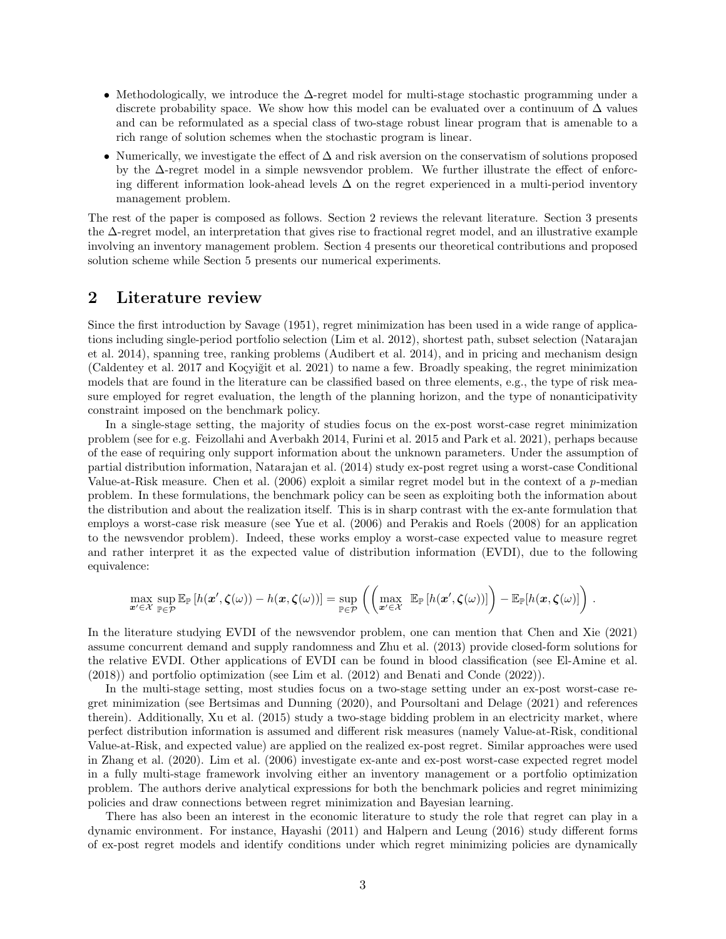- Methodologically, we introduce the  $\Delta$ -regret model for multi-stage stochastic programming under a discrete probability space. We show how this model can be evaluated over a continuum of  $\Delta$  values and can be reformulated as a special class of two-stage robust linear program that is amenable to a rich range of solution schemes when the stochastic program is linear.
- Numerically, we investigate the effect of  $\Delta$  and risk aversion on the conservatism of solutions proposed by the ∆-regret model in a simple newsvendor problem. We further illustrate the effect of enforcing different information look-ahead levels  $\Delta$  on the regret experienced in a multi-period inventory management problem.

The rest of the paper is composed as follows. Section 2 reviews the relevant literature. Section 3 presents the ∆-regret model, an interpretation that gives rise to fractional regret model, and an illustrative example involving an inventory management problem. Section 4 presents our theoretical contributions and proposed solution scheme while Section 5 presents our numerical experiments.

### 2 Literature review

Since the first introduction by Savage (1951), regret minimization has been used in a wide range of applications including single-period portfolio selection (Lim et al. 2012), shortest path, subset selection (Natarajan et al. 2014), spanning tree, ranking problems (Audibert et al. 2014), and in pricing and mechanism design (Caldentey et al. 2017 and Koçyiğit et al. 2021) to name a few. Broadly speaking, the regret minimization models that are found in the literature can be classified based on three elements, e.g., the type of risk measure employed for regret evaluation, the length of the planning horizon, and the type of nonanticipativity constraint imposed on the benchmark policy.

In a single-stage setting, the majority of studies focus on the ex-post worst-case regret minimization problem (see for e.g. Feizollahi and Averbakh 2014, Furini et al. 2015 and Park et al. 2021), perhaps because of the ease of requiring only support information about the unknown parameters. Under the assumption of partial distribution information, Natarajan et al. (2014) study ex-post regret using a worst-case Conditional Value-at-Risk measure. Chen et al.  $(2006)$  exploit a similar regret model but in the context of a p-median problem. In these formulations, the benchmark policy can be seen as exploiting both the information about the distribution and about the realization itself. This is in sharp contrast with the ex-ante formulation that employs a worst-case risk measure (see Yue et al. (2006) and Perakis and Roels (2008) for an application to the newsvendor problem). Indeed, these works employ a worst-case expected value to measure regret and rather interpret it as the expected value of distribution information (EVDI), due to the following equivalence:

$$
\max_{\mathbf{x}'\in\mathcal{X}}\sup_{\mathbb{P}\in\mathcal{P}}\mathbb{E}_{\mathbb{P}}\left[h(\mathbf{x}',\boldsymbol{\zeta}(\omega))-h(\mathbf{x},\boldsymbol{\zeta}(\omega))\right]=\sup_{\mathbb{P}\in\mathcal{P}}\left(\left(\max_{\mathbf{x}'\in\mathcal{X}}\mathbb{E}_{\mathbb{P}}\left[h(\mathbf{x}',\boldsymbol{\zeta}(\omega))\right]\right)-\mathbb{E}_{\mathbb{P}}[h(\mathbf{x},\boldsymbol{\zeta}(\omega)]\right).
$$

In the literature studying EVDI of the newsvendor problem, one can mention that Chen and Xie (2021) assume concurrent demand and supply randomness and Zhu et al. (2013) provide closed-form solutions for the relative EVDI. Other applications of EVDI can be found in blood classification (see El-Amine et al. (2018)) and portfolio optimization (see Lim et al. (2012) and Benati and Conde (2022)).

In the multi-stage setting, most studies focus on a two-stage setting under an ex-post worst-case regret minimization (see Bertsimas and Dunning (2020), and Poursoltani and Delage (2021) and references therein). Additionally, Xu et al. (2015) study a two-stage bidding problem in an electricity market, where perfect distribution information is assumed and different risk measures (namely Value-at-Risk, conditional Value-at-Risk, and expected value) are applied on the realized ex-post regret. Similar approaches were used in Zhang et al. (2020). Lim et al. (2006) investigate ex-ante and ex-post worst-case expected regret model in a fully multi-stage framework involving either an inventory management or a portfolio optimization problem. The authors derive analytical expressions for both the benchmark policies and regret minimizing policies and draw connections between regret minimization and Bayesian learning.

There has also been an interest in the economic literature to study the role that regret can play in a dynamic environment. For instance, Hayashi (2011) and Halpern and Leung (2016) study different forms of ex-post regret models and identify conditions under which regret minimizing policies are dynamically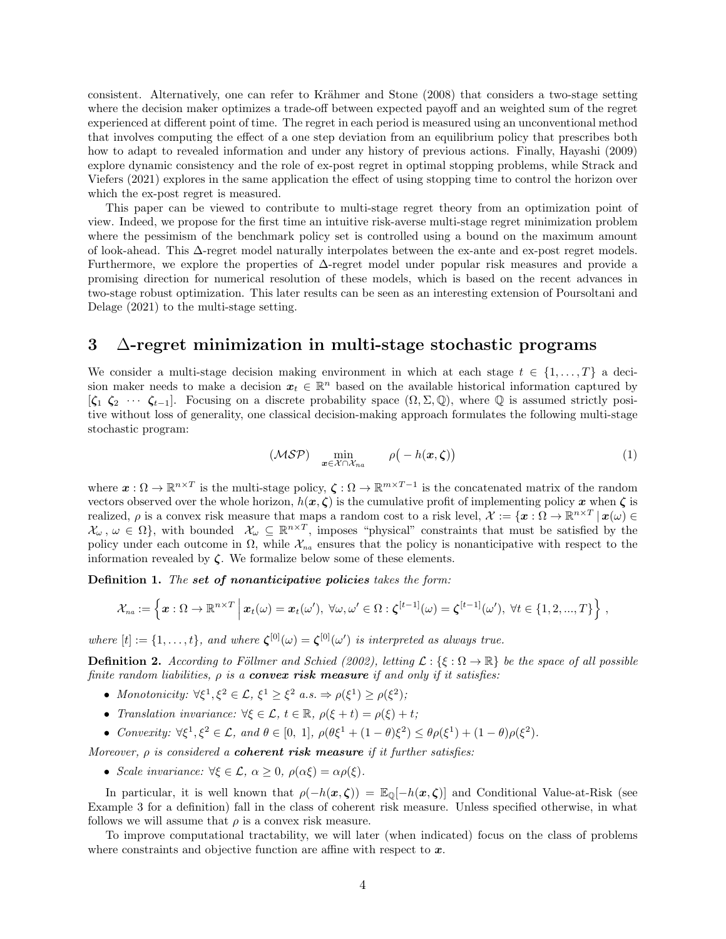consistent. Alternatively, one can refer to Krähmer and Stone (2008) that considers a two-stage setting where the decision maker optimizes a trade-off between expected payoff and an weighted sum of the regret experienced at different point of time. The regret in each period is measured using an unconventional method that involves computing the effect of a one step deviation from an equilibrium policy that prescribes both how to adapt to revealed information and under any history of previous actions. Finally, Hayashi (2009) explore dynamic consistency and the role of ex-post regret in optimal stopping problems, while Strack and Viefers (2021) explores in the same application the effect of using stopping time to control the horizon over which the ex-post regret is measured.

This paper can be viewed to contribute to multi-stage regret theory from an optimization point of view. Indeed, we propose for the first time an intuitive risk-averse multi-stage regret minimization problem where the pessimism of the benchmark policy set is controlled using a bound on the maximum amount of look-ahead. This ∆-regret model naturally interpolates between the ex-ante and ex-post regret models. Furthermore, we explore the properties of ∆-regret model under popular risk measures and provide a promising direction for numerical resolution of these models, which is based on the recent advances in two-stage robust optimization. This later results can be seen as an interesting extension of Poursoltani and Delage (2021) to the multi-stage setting.

## 3 ∆-regret minimization in multi-stage stochastic programs

We consider a multi-stage decision making environment in which at each stage  $t \in \{1, \ldots, T\}$  a decision maker needs to make a decision  $x_t \in \mathbb{R}^n$  based on the available historical information captured by  $[\zeta_1 \; \zeta_2 \; \cdots \; \zeta_{t-1}]$ . Focusing on a discrete probability space  $(\Omega, \Sigma, \mathbb{Q})$ , where  $\mathbb{Q}$  is assumed strictly positive without loss of generality, one classical decision-making approach formulates the following multi-stage stochastic program:

$$
(\mathcal{MSP}) \quad \min_{\boldsymbol{x} \in \mathcal{X} \cap \mathcal{X}_{na}} \qquad \rho(-h(\boldsymbol{x}, \boldsymbol{\zeta})) \tag{1}
$$

where  $\mathbf{x} : \Omega \to \mathbb{R}^{n \times T}$  is the multi-stage policy,  $\zeta : \Omega \to \mathbb{R}^{m \times T-1}$  is the concatenated matrix of the random vectors observed over the whole horizon,  $h(x, \zeta)$  is the cumulative profit of implementing policy x when  $\zeta$  is realized,  $\rho$  is a convex risk measure that maps a random cost to a risk level,  $\mathcal{X} := \{ \boldsymbol{x} : \Omega \to \mathbb{R}^{n \times T} \mid \boldsymbol{x}(\omega) \in \Omega \}$  $\mathcal{X}_{\omega}, \omega \in \Omega$ , with bounded  $\mathcal{X}_{\omega} \subseteq \mathbb{R}^{n \times T}$ , imposes "physical" constraints that must be satisfied by the policy under each outcome in  $\Omega$ , while  $\mathcal{X}_{na}$  ensures that the policy is nonanticipative with respect to the information revealed by  $\zeta$ . We formalize below some of these elements.

Definition 1. The set of nonanticipative policies takes the form:

$$
\mathcal{X}_{na} := \left\{ \boldsymbol{x} : \Omega \to \mathbb{R}^{n \times T} \, \middle| \, \boldsymbol{x}_t(\omega) = \boldsymbol{x}_t(\omega'), \, \forall \omega, \omega' \in \Omega : \boldsymbol{\zeta}^{[t-1]}(\omega) = \boldsymbol{\zeta}^{[t-1]}(\omega'), \, \forall t \in \{1, 2, ..., T\} \right\},
$$

where  $[t] := \{1, \ldots, t\}$ , and where  $\zeta^{[0]}(\omega) = \zeta^{[0]}(\omega')$  is interpreted as always true.

**Definition 2.** According to Föllmer and Schied (2002), letting  $\mathcal{L} : \{\xi : \Omega \to \mathbb{R}\}\$  be the space of all possible finite random liabilities,  $\rho$  is a **convex risk measure** if and only if it satisfies:

- Monotonicity:  $\forall \xi^1, \xi^2 \in \mathcal{L}, \xi^1 \geq \xi^2 \text{ a.s.} \Rightarrow \rho(\xi^1) \geq \rho(\xi^2);$
- Translation invariance:  $\forall \xi \in \mathcal{L}, t \in \mathbb{R}, \rho(\xi + t) = \rho(\xi) + t;$
- Convexity:  $\forall \xi^1, \xi^2 \in \mathcal{L}$ , and  $\theta \in [0, 1]$ ,  $\rho(\theta \xi^1 + (1 \theta)\xi^2) \leq \theta \rho(\xi^1) + (1 \theta) \rho(\xi^2)$ .

Moreover,  $\rho$  is considered a **coherent risk measure** if it further satisfies:

• Scale invariance:  $\forall \xi \in \mathcal{L}, \alpha \geq 0, \rho(\alpha \xi) = \alpha \rho(\xi)$ .

In particular, it is well known that  $\rho(-h(x,\zeta)) = \mathbb{E}_{\mathbb{Q}}[-h(x,\zeta)]$  and Conditional Value-at-Risk (see Example 3 for a definition) fall in the class of coherent risk measure. Unless specified otherwise, in what follows we will assume that  $\rho$  is a convex risk measure.

To improve computational tractability, we will later (when indicated) focus on the class of problems where constraints and objective function are affine with respect to  $x$ .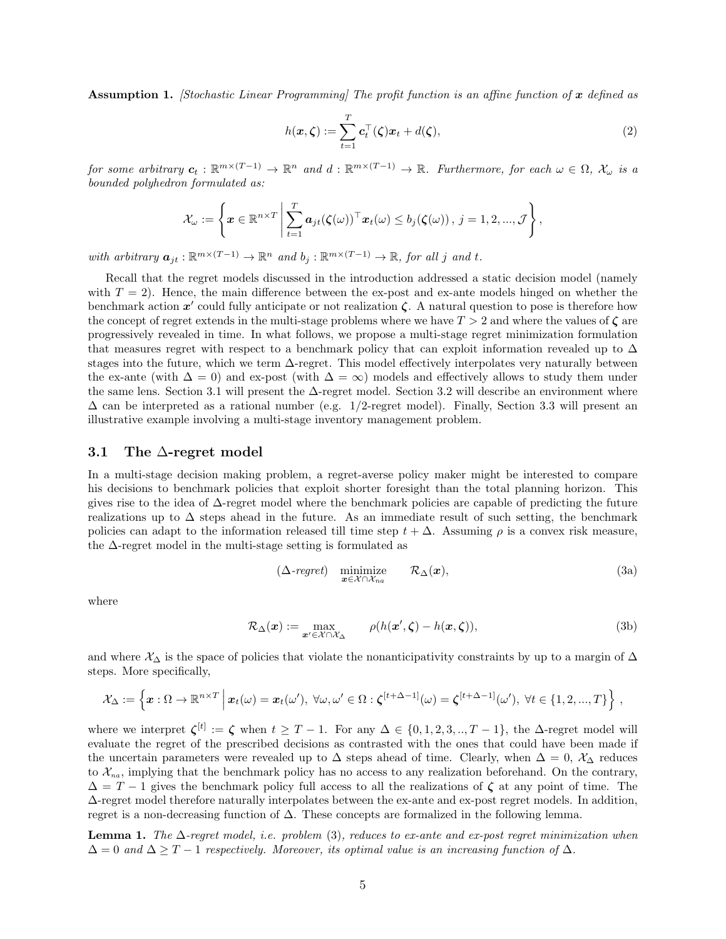**Assumption 1.** *[Stochastic Linear Programming] The profit function is an affine function of*  $x$  defined as

$$
h(\boldsymbol{x}, \boldsymbol{\zeta}) := \sum_{t=1}^{T} \boldsymbol{c}_t^{\top}(\boldsymbol{\zeta}) \boldsymbol{x}_t + d(\boldsymbol{\zeta}), \qquad (2)
$$

for some arbitrary  $c_t : \mathbb{R}^{m \times (T-1)} \to \mathbb{R}^n$  and  $d : \mathbb{R}^{m \times (T-1)} \to \mathbb{R}$ . Furthermore, for each  $\omega \in \Omega$ ,  $\mathcal{X}_{\omega}$  is a bounded polyhedron formulated as:

$$
\mathcal{X}_{\omega} := \left\{ \boldsymbol{x} \in \mathbb{R}^{n \times T} \, \middle| \, \sum_{t=1}^{T} \boldsymbol{a}_{jt}(\boldsymbol{\zeta}(\omega))^{\top} \boldsymbol{x}_{t}(\omega) \le b_{j}(\boldsymbol{\zeta}(\omega)), \, j = 1, 2, ..., \mathcal{J} \right\},
$$

with arbitrary  $a_{jt} : \mathbb{R}^{m \times (T-1)} \to \mathbb{R}^n$  and  $b_j : \mathbb{R}^{m \times (T-1)} \to \mathbb{R}$ , for all j and t.

Recall that the regret models discussed in the introduction addressed a static decision model (namely with  $T = 2$ ). Hence, the main difference between the ex-post and ex-ante models hinged on whether the benchmark action  $x'$  could fully anticipate or not realization  $\zeta$ . A natural question to pose is therefore how the concept of regret extends in the multi-stage problems where we have  $T > 2$  and where the values of  $\zeta$  are progressively revealed in time. In what follows, we propose a multi-stage regret minimization formulation that measures regret with respect to a benchmark policy that can exploit information revealed up to  $\Delta$ stages into the future, which we term ∆-regret. This model effectively interpolates very naturally between the ex-ante (with  $\Delta = 0$ ) and ex-post (with  $\Delta = \infty$ ) models and effectively allows to study them under the same lens. Section 3.1 will present the ∆-regret model. Section 3.2 will describe an environment where  $\Delta$  can be interpreted as a rational number (e.g. 1/2-regret model). Finally, Section 3.3 will present an illustrative example involving a multi-stage inventory management problem.

#### 3.1 The  $\Delta$ -regret model

In a multi-stage decision making problem, a regret-averse policy maker might be interested to compare his decisions to benchmark policies that exploit shorter foresight than the total planning horizon. This gives rise to the idea of ∆-regret model where the benchmark policies are capable of predicting the future realizations up to  $\Delta$  steps ahead in the future. As an immediate result of such setting, the benchmark policies can adapt to the information released till time step  $t + \Delta$ . Assuming  $\rho$  is a convex risk measure, the ∆-regret model in the multi-stage setting is formulated as

$$
(\Delta\text{-}regret) \quad \underset{\boldsymbol{x}\in\mathcal{X}\cap\mathcal{X}_{na}}{\text{minimize}} \qquad \mathcal{R}_{\Delta}(\boldsymbol{x}), \tag{3a}
$$

where

$$
\mathcal{R}_{\Delta}(\boldsymbol{x}) := \max_{\boldsymbol{x}' \in \mathcal{X} \cap \mathcal{X}_{\Delta}} \qquad \rho(h(\boldsymbol{x}', \boldsymbol{\zeta}) - h(\boldsymbol{x}, \boldsymbol{\zeta})), \tag{3b}
$$

and where  $\chi_{\Delta}$  is the space of policies that violate the nonanticipativity constraints by up to a margin of  $\Delta$ steps. More specifically,

$$
\mathcal{X}_{\Delta} := \left\{ \boldsymbol{x} : \Omega \to \mathbb{R}^{n \times T} \, \middle| \, \boldsymbol{x}_t(\omega) = \boldsymbol{x}_t(\omega'), \, \forall \omega, \omega' \in \Omega : \boldsymbol{\zeta}^{[t+\Delta-1]}(\omega) = \boldsymbol{\zeta}^{[t+\Delta-1]}(\omega'), \, \forall t \in \{1, 2, ..., T\} \right\},
$$

where we interpret  $\zeta^{[t]} := \zeta$  when  $t \geq T - 1$ . For any  $\Delta \in \{0, 1, 2, 3, \ldots, T - 1\}$ , the  $\Delta$ -regret model will evaluate the regret of the prescribed decisions as contrasted with the ones that could have been made if the uncertain parameters were revealed up to  $\Delta$  steps ahead of time. Clearly, when  $\Delta = 0$ ,  $\mathcal{X}_{\Delta}$  reduces to  $\mathcal{X}_{na}$ , implying that the benchmark policy has no access to any realization beforehand. On the contrary,  $\Delta = T - 1$  gives the benchmark policy full access to all the realizations of  $\zeta$  at any point of time. The ∆-regret model therefore naturally interpolates between the ex-ante and ex-post regret models. In addition, regret is a non-decreasing function of ∆. These concepts are formalized in the following lemma.

**Lemma 1.** The  $\Delta$ -regret model, i.e. problem (3), reduces to ex-ante and ex-post regret minimization when  $\Delta = 0$  and  $\Delta \geq T - 1$  respectively. Moreover, its optimal value is an increasing function of  $\Delta$ .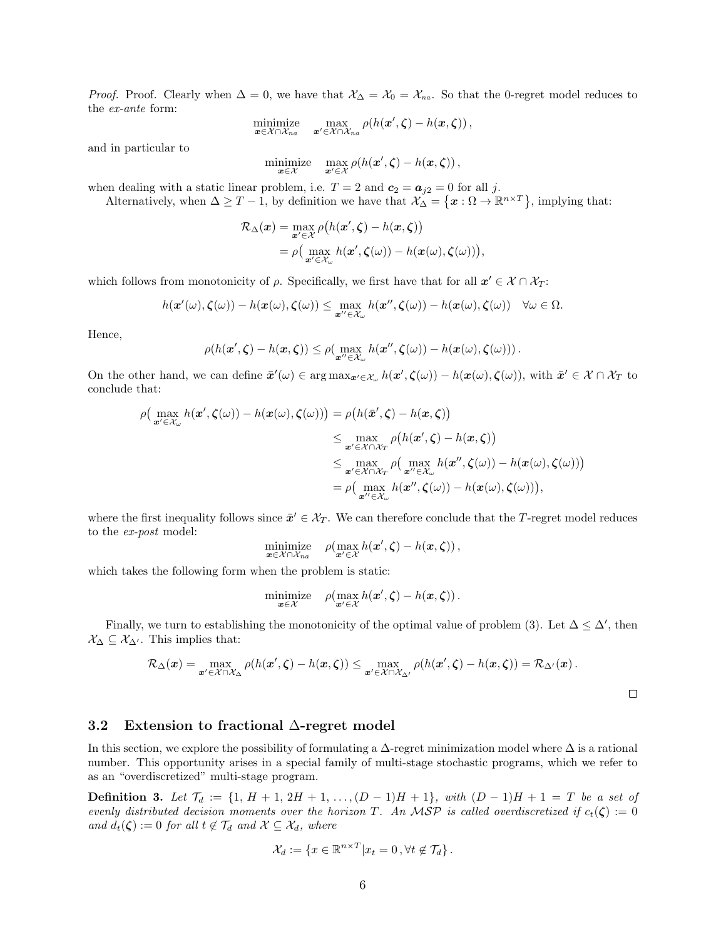*Proof.* Proof. Clearly when  $\Delta = 0$ , we have that  $\mathcal{X}_{\Delta} = \mathcal{X}_0 = \mathcal{X}_{na}$ . So that the 0-regret model reduces to the ex-ante form:

minimize 
$$
\max_{\mathbf{x} \in \mathcal{X} \cap \mathcal{X}_{na}} \max_{\mathbf{x}' \in \mathcal{X} \cap \mathcal{X}_{na}} \rho(h(\mathbf{x}', \zeta) - h(\mathbf{x}, \zeta)),
$$

and in particular to

$$
\underset{\mathbf{x}\in\mathcal{X}}{\text{minimize}}\quad \underset{\mathbf{x}'\in\mathcal{X}}{\text{max}}\,\rho(h(\mathbf{x}',\boldsymbol{\zeta})-h(\mathbf{x},\boldsymbol{\zeta})),
$$

when dealing with a static linear problem, i.e.  $T = 2$  and  $c_2 = a_{j2} = 0$  for all j.

Alternatively, when  $\Delta \geq T-1$ , by definition we have that  $\mathcal{X}_{\Delta} = \{ \boldsymbol{x} : \Omega \to \mathbb{R}^{n \times T} \}$ , implying that:

$$
\mathcal{R}_{\Delta}(\boldsymbol{x}) = \max_{\boldsymbol{x}' \in \mathcal{X}} \rho(h(\boldsymbol{x}', \boldsymbol{\zeta}) - h(\boldsymbol{x}, \boldsymbol{\zeta}))
$$
  
=  $\rho\left(\max_{\boldsymbol{x}' \in \mathcal{X}_{\omega}} h(\boldsymbol{x}', \boldsymbol{\zeta}(\omega)) - h(\boldsymbol{x}(\omega), \boldsymbol{\zeta}(\omega))\right)$ 

,

which follows from monotonicity of  $\rho$ . Specifically, we first have that for all  $x' \in \mathcal{X} \cap \mathcal{X}_{T}$ :

$$
h(\boldsymbol{x}'(\omega),\boldsymbol{\zeta}(\omega)) - h(\boldsymbol{x}(\omega),\boldsymbol{\zeta}(\omega)) \leq \max_{\boldsymbol{x}'' \in \mathcal{X}_{\omega}} h(\boldsymbol{x}'',\boldsymbol{\zeta}(\omega)) - h(\boldsymbol{x}(\omega),\boldsymbol{\zeta}(\omega)) \quad \forall \omega \in \Omega.
$$

Hence,

$$
\rho(h(\mathbf{x}', \boldsymbol{\zeta}) - h(\mathbf{x}, \boldsymbol{\zeta})) \leq \rho(\max_{\mathbf{x}'' \in \mathcal{X}_{\omega}} h(\mathbf{x}'', \boldsymbol{\zeta}(\omega)) - h(\mathbf{x}(\omega), \boldsymbol{\zeta}(\omega))).
$$

On the other hand, we can define  $\bar{x}'(\omega) \in \arg \max_{\mathbf{x}' \in \mathcal{X}_{\omega}} h(\mathbf{x}', \zeta(\omega)) - h(\mathbf{x}(\omega), \zeta(\omega))$ , with  $\bar{\mathbf{x}}' \in \mathcal{X} \cap \mathcal{X}_T$  to conclude that:

$$
\rho\left(\max_{\mathbf{x}'\in\mathcal{X}_{\omega}} h(\mathbf{x}', \zeta(\omega)) - h(\mathbf{x}(\omega), \zeta(\omega))\right) = \rho\left(h(\bar{\mathbf{x}}', \zeta) - h(\mathbf{x}, \zeta)\right)
$$
  
\n
$$
\leq \max_{\mathbf{x}'\in\mathcal{X}\cap\mathcal{X}_T} \rho\left(h(\mathbf{x}', \zeta) - h(\mathbf{x}, \zeta)\right)
$$
  
\n
$$
\leq \max_{\mathbf{x}'\in\mathcal{X}\cap\mathcal{X}_T} \rho\left(\max_{\mathbf{x}''\in\mathcal{X}_{\omega}} h(\mathbf{x}'', \zeta(\omega)) - h(\mathbf{x}(\omega), \zeta(\omega))\right)
$$
  
\n
$$
= \rho\left(\max_{\mathbf{x}''\in\mathcal{X}_{\omega}} h(\mathbf{x}'', \zeta(\omega)) - h(\mathbf{x}(\omega), \zeta(\omega))\right),
$$

where the first inequality follows since  $\bar{x}' \in \mathcal{X}_T$ . We can therefore conclude that the T-regret model reduces to the ex-post model:

$$
\label{eq:optimal} \underset{\mathbfit{x}\in\mathcal{X}\cap\mathcal{X}_{na}}{\text{minimize}} \quad \rho(\underset{\mathbfit{x}'\in\mathcal{X}}{\text{max}}\, h(\mathbfit{x}', \zeta) - h(\mathbfit{x}, \zeta))\,,
$$

which takes the following form when the problem is static:

$$
\underset{\mathbf{x}\in\mathcal{X}}{\text{minimize}} \quad \rho(\underset{\mathbf{x}'\in\mathcal{X}}{\text{max}}\, h(\mathbf{x}', \boldsymbol{\zeta}) - h(\mathbf{x}, \boldsymbol{\zeta})).
$$

Finally, we turn to establishing the monotonicity of the optimal value of problem (3). Let  $\Delta \leq \Delta'$ , then  $\mathcal{X}_{\Delta} \subseteq \mathcal{X}_{\Delta'}$ . This implies that:

$$
\mathcal{R}_{\Delta}(\boldsymbol{x}) = \max_{\boldsymbol{x}' \in \mathcal{X} \cap \mathcal{X}_{\Delta}} \rho(h(\boldsymbol{x}', \boldsymbol{\zeta}) - h(\boldsymbol{x}, \boldsymbol{\zeta})) \le \max_{\boldsymbol{x}' \in \mathcal{X} \cap \mathcal{X}_{\Delta'}} \rho(h(\boldsymbol{x}', \boldsymbol{\zeta}) - h(\boldsymbol{x}, \boldsymbol{\zeta})) = \mathcal{R}_{\Delta'}(\boldsymbol{x}).
$$

### 3.2 Extension to fractional ∆-regret model

In this section, we explore the possibility of formulating a  $\Delta$ -regret minimization model where  $\Delta$  is a rational number. This opportunity arises in a special family of multi-stage stochastic programs, which we refer to as an "overdiscretized" multi-stage program.

**Definition 3.** Let  $\mathcal{T}_d := \{1, H + 1, 2H + 1, \ldots, (D-1)H + 1\}$ , with  $(D-1)H + 1 = T$  be a set of evenly distributed decision moments over the horizon T. An MSP is called overdiscretized if  $c_t(\zeta) := 0$ and  $d_t(\zeta) := 0$  for all  $t \notin \mathcal{T}_d$  and  $\mathcal{X} \subseteq \mathcal{X}_d$ , where

$$
\mathcal{X}_d := \{ x \in \mathbb{R}^{n \times T} | x_t = 0, \forall t \notin \mathcal{T}_d \}.
$$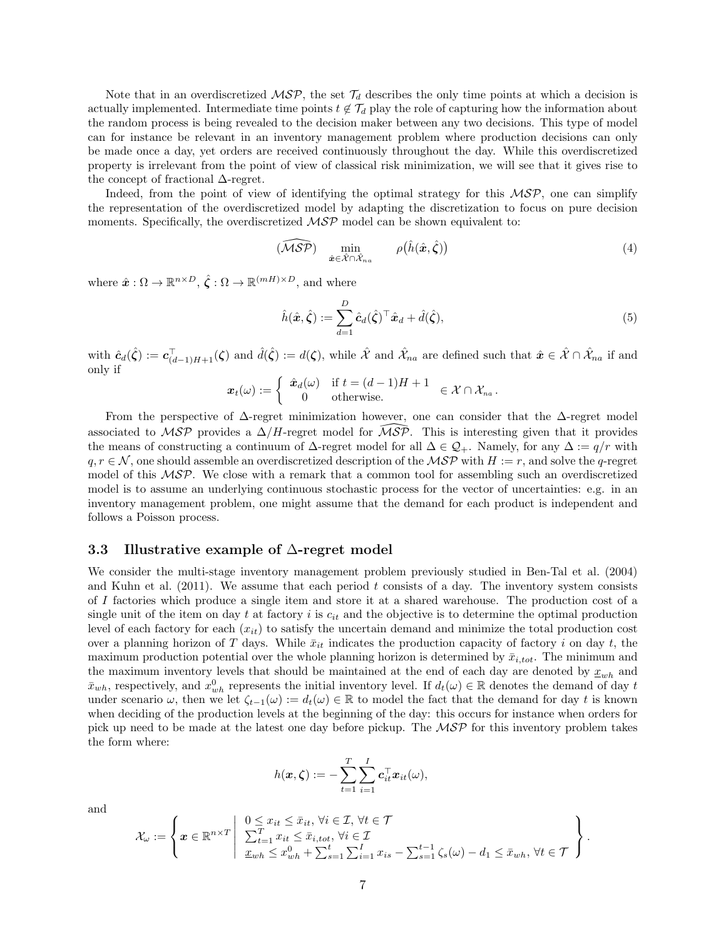Note that in an overdiscretized  $MSP$ , the set  $\mathcal{T}_d$  describes the only time points at which a decision is actually implemented. Intermediate time points  $t \notin \mathcal{T}_d$  play the role of capturing how the information about the random process is being revealed to the decision maker between any two decisions. This type of model can for instance be relevant in an inventory management problem where production decisions can only be made once a day, yet orders are received continuously throughout the day. While this overdiscretized property is irrelevant from the point of view of classical risk minimization, we will see that it gives rise to the concept of fractional  $\Delta$ -regret.

Indeed, from the point of view of identifying the optimal strategy for this  $\mathcal{MSP}$ , one can simplify the representation of the overdiscretized model by adapting the discretization to focus on pure decision moments. Specifically, the overdiscretized  $\mathcal{MSP}$  model can be shown equivalent to:

$$
(\widehat{\mathcal{MSP}}) \quad \min_{\hat{\mathbf{x}} \in \hat{\mathcal{X}} \cap \hat{\mathcal{X}}_{na}} \qquad \rho(\hat{h}(\hat{\mathbf{x}}, \hat{\zeta})) \tag{4}
$$

where  $\hat{\boldsymbol{x}} : \Omega \to \mathbb{R}^{n \times D}, \hat{\boldsymbol{\zeta}} : \Omega \to \mathbb{R}^{(mH) \times D}$ , and where

$$
\hat{h}(\hat{\boldsymbol{x}}, \hat{\boldsymbol{\zeta}}) := \sum_{d=1}^{D} \hat{c}_d(\hat{\boldsymbol{\zeta}})^\top \hat{\boldsymbol{x}}_d + \hat{d}(\hat{\boldsymbol{\zeta}}),\tag{5}
$$

with  $\hat{c}_d(\hat{\zeta}) := \mathbf{c}_{(d-1)H+1}^{\top}(\zeta)$  and  $\hat{d}(\hat{\zeta}) := d(\zeta)$ , while  $\hat{\mathcal{X}}$  and  $\hat{\mathcal{X}}_{na}$  are defined such that  $\hat{\mathbf{x}} \in \hat{\mathcal{X}} \cap \hat{\mathcal{X}}_{na}$  if and only if

$$
\boldsymbol{x}_t(\omega) := \left\{ \begin{array}{cl} \hat{\boldsymbol{x}}_d(\omega) & \text{if } t = (d-1)H + 1 \\ 0 & \text{otherwise.} \end{array} \right. \in \mathcal{X} \cap \mathcal{X}_{na} \, .
$$

From the perspective of  $\Delta$ -regret minimization however, one can consider that the  $\Delta$ -regret model associated to MSP provides a  $\Delta/H$ -regret model for  $\widehat{MSP}$ . This is interesting given that it provides the means of constructing a continuum of  $\Delta$ -regret model for all  $\Delta \in \mathcal{Q}_+$ . Namely, for any  $\Delta := q/r$  with  $q, r \in \mathcal{N}$ , one should assemble an overdiscretized description of the  $\mathcal{MSP}$  with  $H := r$ , and solve the q-regret model of this MSP. We close with a remark that a common tool for assembling such an overdiscretized model is to assume an underlying continuous stochastic process for the vector of uncertainties: e.g. in an inventory management problem, one might assume that the demand for each product is independent and follows a Poisson process.

#### 3.3 Illustrative example of ∆-regret model

We consider the multi-stage inventory management problem previously studied in Ben-Tal et al. (2004) and Kuhn et al.  $(2011)$ . We assume that each period t consists of a day. The inventory system consists of I factories which produce a single item and store it at a shared warehouse. The production cost of a single unit of the item on day t at factory i is  $c_{it}$  and the objective is to determine the optimal production level of each factory for each  $(x_{it})$  to satisfy the uncertain demand and minimize the total production cost over a planning horizon of T days. While  $\bar{x}_{it}$  indicates the production capacity of factory i on day t, the maximum production potential over the whole planning horizon is determined by  $\bar{x}_{i,tot}$ . The minimum and the maximum inventory levels that should be maintained at the end of each day are denoted by  $x_{wh}$  and  $\bar{x}_{wh}$ , respectively, and  $x_{wh}^0$  represents the initial inventory level. If  $d_t(\omega) \in \mathbb{R}$  denotes the demand of day t under scenario  $\omega$ , then we let  $\zeta_{t-1}(\omega) := d_t(\omega) \in \mathbb{R}$  to model the fact that the demand for day t is known when deciding of the production levels at the beginning of the day: this occurs for instance when orders for pick up need to be made at the latest one day before pickup. The  $\mathcal{MSP}$  for this inventory problem takes the form where:

$$
h(\boldsymbol{x},\boldsymbol{\zeta}) := -\sum_{t=1}^T \sum_{i=1}^I \boldsymbol{c}_{it}^\top \boldsymbol{x}_{it}(\omega),
$$

and

$$
\mathcal{X}_{\omega} := \left\{ \boldsymbol{x} \in \mathbb{R}^{n \times T} \left| \begin{array}{l} 0 \leq x_{it} \leq \bar{x}_{it}, \forall i \in \mathcal{I}, \forall t \in \mathcal{T} \\ \sum_{t=1}^{T} x_{it} \leq \bar{x}_{i,tot}, \forall i \in \mathcal{I} \\ \underline{x}_{wh} \leq x_{wh}^0 + \sum_{s=1}^t \sum_{i=1}^I x_{is} - \sum_{s=1}^{t-1} \zeta_s(\omega) - d_1 \leq \bar{x}_{wh}, \forall t \in \mathcal{T} \end{array} \right. \right\}.
$$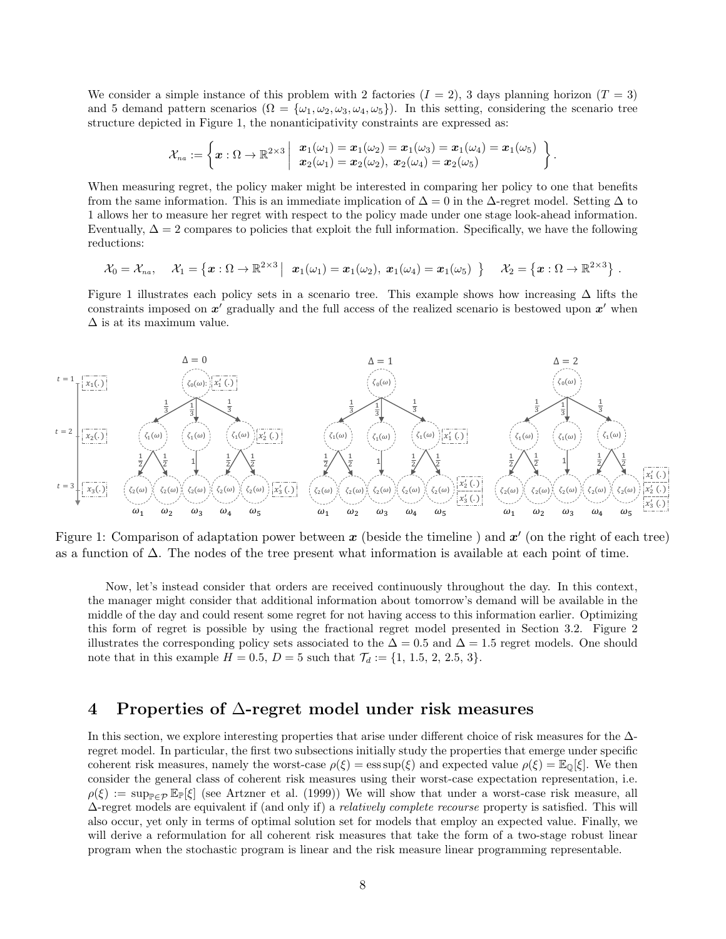We consider a simple instance of this problem with 2 factories  $(I = 2)$ , 3 days planning horizon  $(T = 3)$ and 5 demand pattern scenarios ( $\Omega = {\omega_1, \omega_2, \omega_3, \omega_4, \omega_5}$ ). In this setting, considering the scenario tree structure depicted in Figure 1, the nonanticipativity constraints are expressed as:

$$
\mathcal{X}_{na}:=\left\{\boldsymbol{x}:\Omega\rightarrow\mathbb{R}^{2\times3}\left|\begin{array}{c}\boldsymbol{x}_1(\omega_1)=\boldsymbol{x}_1(\omega_2)=\boldsymbol{x}_1(\omega_3)=\boldsymbol{x}_1(\omega_4)=\boldsymbol{x}_1(\omega_5)\\\boldsymbol{x}_2(\omega_1)=\boldsymbol{x}_2(\omega_2),\ \boldsymbol{x}_2(\omega_4)=\boldsymbol{x}_2(\omega_5)\end{array}\right\}
$$

.

When measuring regret, the policy maker might be interested in comparing her policy to one that benefits from the same information. This is an immediate implication of  $\Delta = 0$  in the  $\Delta$ -regret model. Setting  $\Delta$  to 1 allows her to measure her regret with respect to the policy made under one stage look-ahead information. Eventually,  $\Delta = 2$  compares to policies that exploit the full information. Specifically, we have the following reductions:

$$
\mathcal{X}_0=\mathcal{X}_{na},\quad \mathcal{X}_1=\left\{\boldsymbol{x}:\Omega\to\mathbb{R}^{2\times3}\,\middle|\,\ \boldsymbol{x}_1(\omega_1)=\boldsymbol{x}_1(\omega_2),\ \boldsymbol{x}_1(\omega_4)=\boldsymbol{x}_1(\omega_5)\,\right\}\quad \mathcal{X}_2=\left\{\boldsymbol{x}:\Omega\to\mathbb{R}^{2\times3}\right\}\,.
$$

Figure 1 illustrates each policy sets in a scenario tree. This example shows how increasing  $\Delta$  lifts the constraints imposed on  $x'$  gradually and the full access of the realized scenario is bestowed upon  $x'$  when  $\Delta$  is at its maximum value.



Figure 1: Comparison of adaptation power between  $x$  (beside the timeline) and  $x'$  (on the right of each tree) as a function of ∆. The nodes of the tree present what information is available at each point of time.

Now, let's instead consider that orders are received continuously throughout the day. In this context, the manager might consider that additional information about tomorrow's demand will be available in the middle of the day and could resent some regret for not having access to this information earlier. Optimizing this form of regret is possible by using the fractional regret model presented in Section 3.2. Figure 2 illustrates the corresponding policy sets associated to the  $\Delta = 0.5$  and  $\Delta = 1.5$  regret models. One should note that in this example  $H = 0.5$ ,  $D = 5$  such that  $\mathcal{T}_d := \{1, 1.5, 2, 2.5, 3\}.$ 

## 4 Properties of ∆-regret model under risk measures

In this section, we explore interesting properties that arise under different choice of risk measures for the ∆ regret model. In particular, the first two subsections initially study the properties that emerge under specific coherent risk measures, namely the worst-case  $\rho(\xi) = \operatorname{ess} \sup(\xi)$  and expected value  $\rho(\xi) = \mathbb{E}_{\mathbb{Q}}[\xi]$ . We then consider the general class of coherent risk measures using their worst-case expectation representation, i.e.  $\rho(\xi) := \sup_{\mathbb{P}\in\mathcal{P}} \mathbb{E}_{\mathbb{P}}[\xi]$  (see Artzner et al. (1999)) We will show that under a worst-case risk measure, all  $\Delta$ -regret models are equivalent if (and only if) a *relatively complete recourse* property is satisfied. This will also occur, yet only in terms of optimal solution set for models that employ an expected value. Finally, we will derive a reformulation for all coherent risk measures that take the form of a two-stage robust linear program when the stochastic program is linear and the risk measure linear programming representable.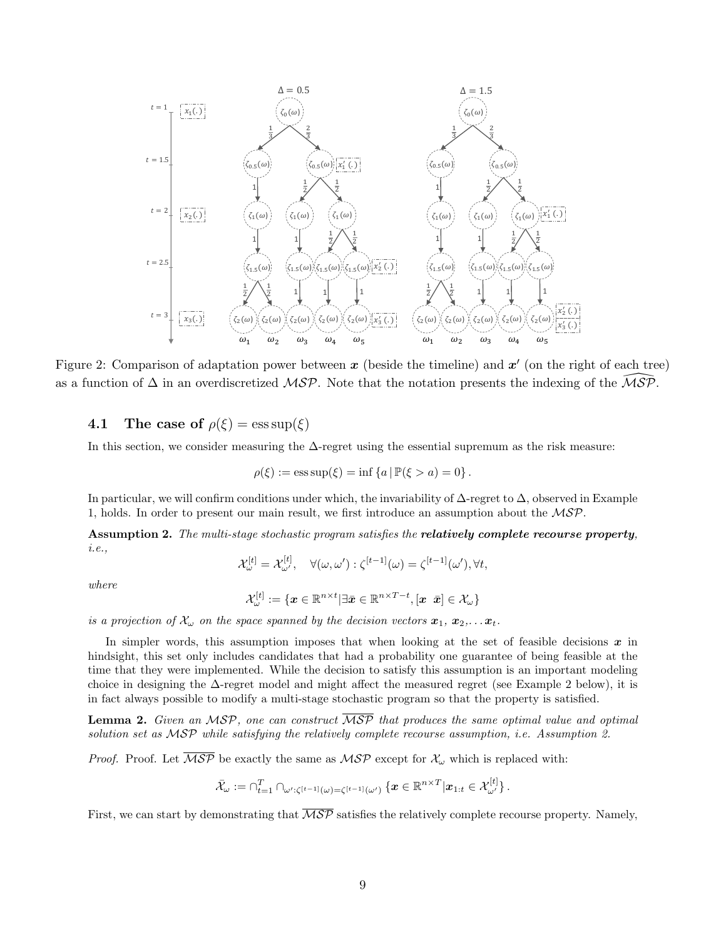

Figure 2: Comparison of adaptation power between  $x$  (beside the timeline) and  $x'$  (on the right of each tree) as a function of  $\Delta$  in an overdiscretized MSP. Note that the notation presents the indexing of the MSP.

4.1 The case of  $\rho(\xi) = \operatorname{ess} \operatorname{sup}(\xi)$ 

In this section, we consider measuring the ∆-regret using the essential supremum as the risk measure:

$$
\rho(\xi) := \text{ess sup}(\xi) = \inf \{ a \, | \, \mathbb{P}(\xi > a) = 0 \} \, .
$$

In particular, we will confirm conditions under which, the invariability of  $\Delta$ -regret to  $\Delta$ , observed in Example 1, holds. In order to present our main result, we first introduce an assumption about the MSP.

Assumption 2. The multi-stage stochastic program satisfies the relatively complete recourse property, i.e.,

$$
\mathcal{X}_{\omega}^{[t]} = \mathcal{X}_{\omega'}^{[t]}, \quad \forall (\omega, \omega') : \zeta^{[t-1]}(\omega) = \zeta^{[t-1]}(\omega'), \forall t,
$$

where

$$
\mathcal{X}_{\omega}^{[t]}:=\{\boldsymbol{x}\in\mathbb{R}^{n\times t}|\exists\bar{\boldsymbol{x}}\in\mathbb{R}^{n\times T-t},[\boldsymbol{x}~\bar{\boldsymbol{x}}]\in\mathcal{X}_{\omega}\}
$$

is a projection of  $\mathcal{X}_{\omega}$  on the space spanned by the decision vectors  $\mathbf{x}_1, \mathbf{x}_2, \ldots \mathbf{x}_t$ .

In simpler words, this assumption imposes that when looking at the set of feasible decisions  $x$  in hindsight, this set only includes candidates that had a probability one guarantee of being feasible at the time that they were implemented. While the decision to satisfy this assumption is an important modeling choice in designing the  $\Delta$ -regret model and might affect the measured regret (see Example 2 below), it is in fact always possible to modify a multi-stage stochastic program so that the property is satisfied.

**Lemma 2.** Given an MSP, one can construct  $\overline{MSP}$  that produces the same optimal value and optimal solution set as MSP while satisfying the relatively complete recourse assumption, i.e. Assumption 2.

*Proof.* Proof. Let  $\overline{MSP}$  be exactly the same as  $MSP$  except for  $\mathcal{X}_{\omega}$  which is replaced with:

$$
\bar{\mathcal{X}}_\omega := \cap_{t=1}^T \cap_{\omega':\zeta^{[t-1]}(\omega) = \zeta^{[t-1]}(\omega')} \left\{ \boldsymbol{x} \in \mathbb{R}^{n \times T} \middle| \boldsymbol{x}_{1:t} \in \mathcal{X}_{\omega'}^{[t]} \right\}.
$$

First, we can start by demonstrating that  $\overline{\mathcal{MSP}}$  satisfies the relatively complete recourse property. Namely,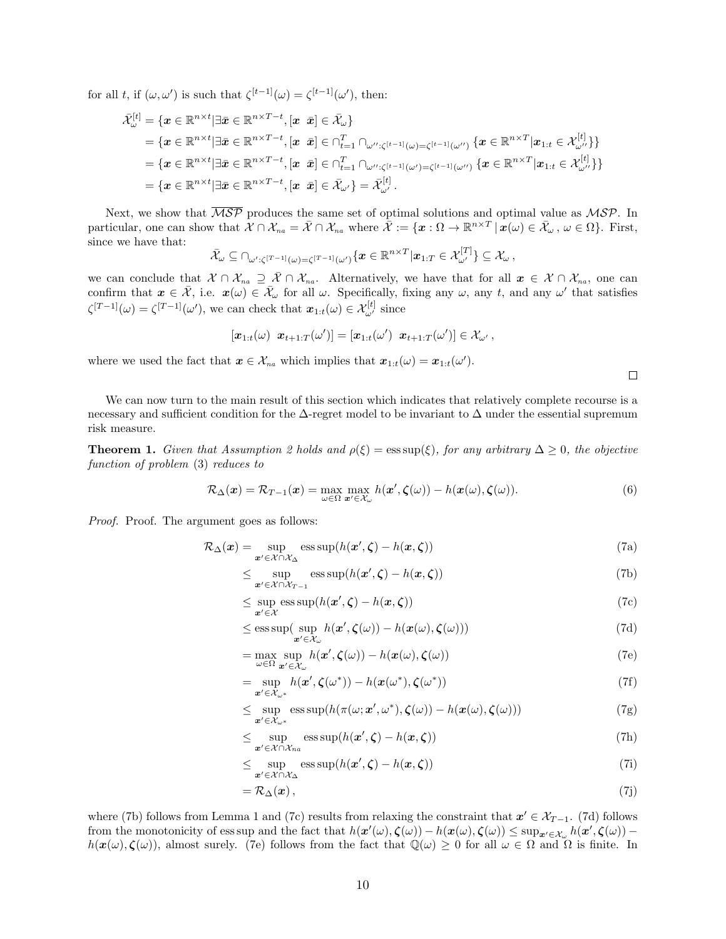for all t, if  $(\omega, \omega')$  is such that  $\zeta^{[t-1]}(\omega) = \zeta^{[t-1]}(\omega')$ , then:

$$
\begin{aligned}\n\bar{\mathcal{X}}_{\omega}^{[t]} &= \{\boldsymbol{x} \in \mathbb{R}^{n \times t} | \exists \bar{\boldsymbol{x}} \in \mathbb{R}^{n \times T-t}, [\boldsymbol{x} \ \ \bar{\boldsymbol{x}}] \in \bar{\mathcal{X}}_{\omega}\} \\
&= \{\boldsymbol{x} \in \mathbb{R}^{n \times t} | \exists \bar{\boldsymbol{x}} \in \mathbb{R}^{n \times T-t}, [\boldsymbol{x} \ \ \bar{\boldsymbol{x}}] \in \cap_{t=1}^{T} \cap_{\omega'' : \zeta^{[t-1]}(\omega) = \zeta^{[t-1]}(\omega'')} \{\boldsymbol{x} \in \mathbb{R}^{n \times T} | \boldsymbol{x}_{1:t} \in \mathcal{X}_{\omega''}^{[t]}\} \} \\
&= \{\boldsymbol{x} \in \mathbb{R}^{n \times t} | \exists \bar{\boldsymbol{x}} \in \mathbb{R}^{n \times T-t}, [\boldsymbol{x} \ \ \bar{\boldsymbol{x}}] \in \cap_{t=1}^{T} \cap_{\omega'' : \zeta^{[t-1]}(\omega') = \zeta^{[t-1]}(\omega'')} \{\boldsymbol{x} \in \mathbb{R}^{n \times T} | \boldsymbol{x}_{1:t} \in \mathcal{X}_{\omega''}^{[t]}\} \} \\
&= \{\boldsymbol{x} \in \mathbb{R}^{n \times t} | \exists \bar{\boldsymbol{x}} \in \mathbb{R}^{n \times T-t}, [\boldsymbol{x} \ \ \bar{\boldsymbol{x}}] \in \bar{\mathcal{X}}_{\omega'}\} = \bar{\mathcal{X}}_{\omega'}^{[t]}. \n\end{aligned}
$$

Next, we show that  $\overline{\mathcal{MSP}}$  produces the same set of optimal solutions and optimal value as  $\mathcal{MSP}$ . In particular, one can show that  $\mathcal{X} \cap \mathcal{X}_{na} = \bar{\mathcal{X}} \cap \mathcal{X}_{na}$  where  $\bar{\mathcal{X}} := \{ \boldsymbol{x} : \Omega \to \mathbb{R}^{n \times T} \, | \, \bar{\boldsymbol{x}}(\omega) \in \bar{\mathcal{X}}_{\omega}, \, \omega \in \Omega \}$ . First, since we have that:

$$
\bar{\mathcal{X}}_{\omega}\subseteq\cap_{\omega':\zeta^{[T-1]}(\omega)=\zeta^{[T-1]}(\omega')}\{\boldsymbol{x}\in\mathbb{R}^{n\times T}\big|\boldsymbol{x}_{1:T}\in\mathcal{X}_{\omega'}^{[T]}\}\subseteq\mathcal{X}_{\omega},
$$

we can conclude that  $\mathcal{X} \cap \mathcal{X}_{na} \supseteq \overline{\mathcal{X}} \cap \mathcal{X}_{na}$ . Alternatively, we have that for all  $x \in \mathcal{X} \cap \mathcal{X}_{na}$ , one can confirm that  $x \in \overline{X}$ , i.e.  $x(\omega) \in \overline{X}_{\omega}$  for all  $\omega$ . Specifically, fixing any  $\omega$ , any t, and any  $\omega'$  that satisfies  $\zeta^{[T-1]}(\omega) = \zeta^{[T-1]}(\omega')$ , we can check that  $x_{1:t}(\omega) \in \mathcal{X}_{\omega'}^{[t]}$  since

$$
[\pmb{x}_{1:t}(\omega) \; \; \pmb{x}_{t+1:T}(\omega')] = [\pmb{x}_{1:t}(\omega') \; \; \pmb{x}_{t+1:T}(\omega')] \in \mathcal{X}_{\omega'},
$$

where we used the fact that  $\mathbf{x} \in \mathcal{X}_{na}$  which implies that  $\mathbf{x}_{1:t}(\omega) = \mathbf{x}_{1:t}(\omega')$ .

We can now turn to the main result of this section which indicates that relatively complete recourse is a necessary and sufficient condition for the ∆-regret model to be invariant to ∆ under the essential supremum risk measure.

**Theorem 1.** Given that Assumption 2 holds and  $\rho(\xi) = \text{ess sup}(\xi)$ , for any arbitrary  $\Delta \geq 0$ , the objective function of problem (3) reduces to

$$
\mathcal{R}_{\Delta}(\boldsymbol{x}) = \mathcal{R}_{T-1}(\boldsymbol{x}) = \max_{\omega \in \Omega} \max_{\boldsymbol{x}' \in \mathcal{X}_{\omega}} h(\boldsymbol{x}', \boldsymbol{\zeta}(\omega)) - h(\boldsymbol{x}(\omega), \boldsymbol{\zeta}(\omega)). \tag{6}
$$

Proof. Proof. The argument goes as follows:

$$
\mathcal{R}_{\Delta}(\boldsymbol{x}) = \sup_{\boldsymbol{x}' \in \mathcal{X} \cap \mathcal{X}_{\Delta}} \operatorname{ess} \sup(h(\boldsymbol{x}', \boldsymbol{\zeta}) - h(\boldsymbol{x}, \boldsymbol{\zeta})) \tag{7a}
$$

$$
\leq \sup_{\mathbf{x}' \in \mathcal{X} \cap \mathcal{X}_{T-1}} \operatorname{ess} \sup(h(\mathbf{x}', \zeta) - h(\mathbf{x}, \zeta)) \tag{7b}
$$

$$
\leq \sup_{\mathbf{x}' \in \mathcal{X}} \operatorname{ess\,sup}(h(\mathbf{x}', \zeta) - h(\mathbf{x}, \zeta)) \tag{7c}
$$

$$
\leq \operatorname{ess\,sup}\left(\sup_{\mathbf{x}'\in\mathcal{X}_{\omega}} h(\mathbf{x}', \zeta(\omega)) - h(\mathbf{x}(\omega), \zeta(\omega))\right) \tag{7d}
$$

$$
= \max_{\omega \in \Omega} \sup_{\mathbf{x}' \in \mathcal{X}_{\omega}} h(\mathbf{x}', \zeta(\omega)) - h(\mathbf{x}(\omega), \zeta(\omega))
$$
(7e)

$$
= \sup_{\mathbf{x}' \in \mathcal{X}_{\omega^*}} h(\mathbf{x}', \zeta(\omega^*)) - h(\mathbf{x}(\omega^*), \zeta(\omega^*))
$$
\n(7f)

$$
\leq \sup_{\mathbf{x}' \in \mathcal{X}_{\omega^*}} \text{ess sup}(h(\pi(\omega; \mathbf{x}', \omega^*), \boldsymbol{\zeta}(\omega)) - h(\mathbf{x}(\omega), \boldsymbol{\zeta}(\omega))) \tag{7g}
$$

$$
\leq \sup_{\mathbf{x}' \in \mathcal{X} \cap \mathcal{X}_{na}} \operatorname{ess\,sup}(h(\mathbf{x}', \zeta) - h(\mathbf{x}, \zeta)) \tag{7h}
$$

$$
\leq \sup_{\mathbf{x}' \in \mathcal{X} \cap \mathcal{X}_{\Delta}} \operatorname{ess} \operatorname{sup}(h(\mathbf{x}', \zeta) - h(\mathbf{x}, \zeta)) \tag{7i}
$$

$$
=\mathcal{R}_{\Delta}(\boldsymbol{x})\,,\tag{7j}
$$

where (7b) follows from Lemma 1 and (7c) results from relaxing the constraint that  $x' \in \mathcal{X}_{T-1}$ . (7d) follows from the monotonicity of ess sup and the fact that  $h(\mathbf{x}'(\omega), \boldsymbol{\zeta}(\omega)) - h(\mathbf{x}(\omega), \boldsymbol{\zeta}(\omega)) \leq \sup_{\mathbf{x}' \in \mathcal{X}_{\omega}} h(\mathbf{x}', \boldsymbol{\zeta}(\omega))$  $h(\mathbf{x}(\omega), \zeta(\omega))$ , almost surely. (7e) follows from the fact that  $\mathbb{Q}(\omega) \geq 0$  for all  $\omega \in \Omega$  and  $\Omega$  is finite. In

 $\Box$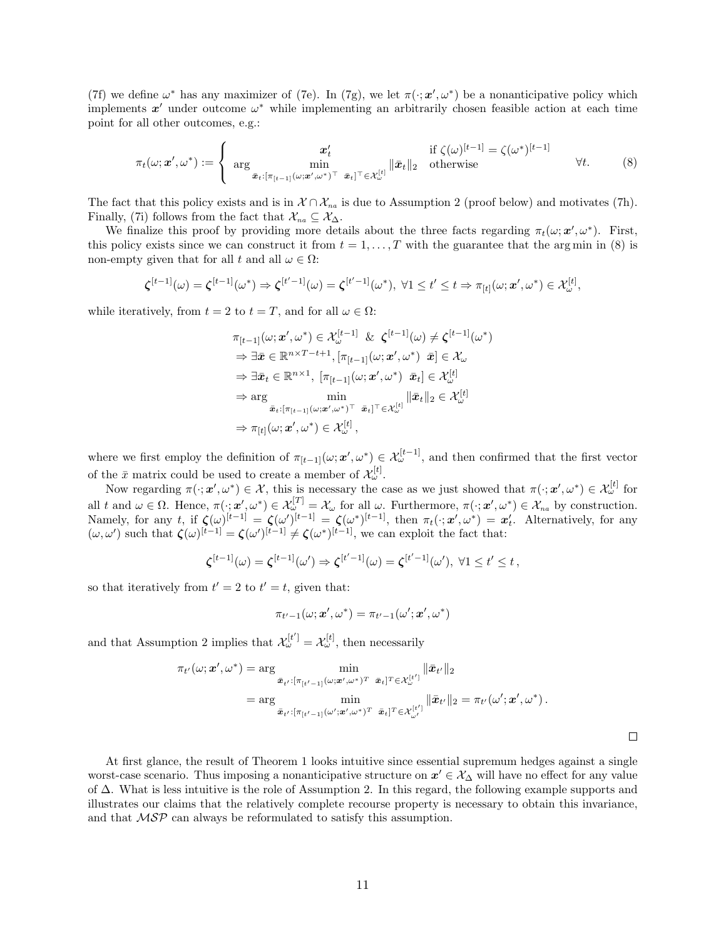(7f) we define  $\omega^*$  has any maximizer of (7e). In (7g), we let  $\pi(\cdot; \mathbf{x}', \omega^*)$  be a nonanticipative policy which implements  $x'$  under outcome  $\omega^*$  while implementing an arbitrarily chosen feasible action at each time point for all other outcomes, e.g.:

$$
\pi_t(\omega; \mathbf{x}', \omega^*) := \begin{cases}\n\mathbf{x}'_t & \text{if } \zeta(\omega)^{[t-1]} = \zeta(\omega^*)^{[t-1]} \\
\operatorname{arg} \min_{\bar{\mathbf{x}}_t : [\pi_{[t-1]}(\omega; \mathbf{x}', \omega^*)^\top \ \bar{\mathbf{x}}_t]^\top \in \mathcal{X}^{[t]}_{\omega}} ||\bar{\mathbf{x}}_t||_2 & \text{otherwise}\n\end{cases} \forall t.
$$
\n(8)

The fact that this policy exists and is in  $\mathcal{X} \cap \mathcal{X}_{na}$  is due to Assumption 2 (proof below) and motivates (7h). Finally, (7i) follows from the fact that  $\mathcal{X}_{na} \subseteq \mathcal{X}_{\Delta}$ .

We finalize this proof by providing more details about the three facts regarding  $\pi_t(\omega; \mathbf{x}', \omega^*)$ . First, this policy exists since we can construct it from  $t = 1, \ldots, T$  with the guarantee that the arg min in (8) is non-empty given that for all  $t$  and all  $\omega \in \Omega$ :

$$
\boldsymbol{\zeta}^{[t-1]}(\omega) = \boldsymbol{\zeta}^{[t-1]}(\omega^*) \Rightarrow \boldsymbol{\zeta}^{[t'-1]}(\omega) = \boldsymbol{\zeta}^{[t'-1]}(\omega^*), \ \forall 1 \leq t' \leq t \Rightarrow \pi_{[t]}(\omega; \boldsymbol{x}', \omega^*) \in \mathcal{X}^{[t]}_{\omega},
$$

while iteratively, from  $t = 2$  to  $t = T$ , and for all  $\omega \in \Omega$ :

$$
\pi_{[t-1]}(\omega; \mathbf{x}', \omega^*) \in \mathcal{X}_{\omega}^{[t-1]} \& \zeta^{[t-1]}(\omega) \neq \zeta^{[t-1]}(\omega^*)
$$
\n
$$
\Rightarrow \exists \bar{\mathbf{x}} \in \mathbb{R}^{n \times T - t + 1}, [\pi_{[t-1]}(\omega; \mathbf{x}', \omega^*) \quad \bar{\mathbf{x}}] \in \mathcal{X}_{\omega}
$$
\n
$$
\Rightarrow \exists \bar{\mathbf{x}}_t \in \mathbb{R}^{n \times 1}, [\pi_{[t-1]}(\omega; \mathbf{x}', \omega^*) \quad \bar{\mathbf{x}}_t] \in \mathcal{X}_{\omega}^{[t]}
$$
\n
$$
\Rightarrow \arg \min_{\bar{\mathbf{x}}_t : [\pi_{[t-1]}(\omega; \mathbf{x}', \omega^*)^\top \quad \bar{\mathbf{x}}_t]^\top \in \mathcal{X}_{\omega}^{[t]}} ||\bar{\mathbf{x}}_t||_2 \in \mathcal{X}_{\omega}^{[t]}
$$
\n
$$
\Rightarrow \pi_{[t]}(\omega; \mathbf{x}', \omega^*) \in \mathcal{X}_{\omega}^{[t]},
$$

where we first employ the definition of  $\pi_{[t-1]}(\omega; \mathbf{x}', \omega^*) \in \mathcal{X}_{\omega}^{[t-1]}$ , and then confirmed that the first vector of the  $\bar{x}$  matrix could be used to create a member of  $\mathcal{X}_{\omega}^{[t]}$ .

Now regarding  $\pi(\cdot; \mathbf{x}', \omega^*) \in \mathcal{X}$ , this is necessary the case as we just showed that  $\pi(\cdot; \mathbf{x}', \omega^*) \in \mathcal{X}_{\omega}^{[t]}$  for all t and  $\omega \in \Omega$ . Hence,  $\pi(\cdot; \mathbf{x}', \omega^*) \in \mathcal{X}_{\omega}^{[T]} = \mathcal{X}_{\omega}$  for all  $\omega$ . Furthermore,  $\pi(\cdot; \mathbf{x}', \omega^*) \in \mathcal{X}_{na}$  by construction. Namely, for any t, if  $\zeta(\omega)^{[t-1]} = \zeta(\omega^*)^{[t-1]} = \zeta(\omega^*)^{[t-1]}$ , then  $\pi_t(\cdot; \mathbf{x}', \omega^*) = \mathbf{x}'_t$ . Alternatively, for any  $(\omega, \omega')$  such that  $\zeta(\omega)^{[t-1]} = \zeta(\omega')^{[t-1]} \neq \zeta(\omega^*)^{[t-1]}$ , we can exploit the fact that:

$$
\boldsymbol{\zeta}^{[t-1]}(\omega) = \boldsymbol{\zeta}^{[t-1]}(\omega') \Rightarrow \boldsymbol{\zeta}^{[t'-1]}(\omega) = \boldsymbol{\zeta}^{[t'-1]}(\omega'), \ \forall 1 \leq t' \leq t,
$$

so that iteratively from  $t' = 2$  to  $t' = t$ , given that:

$$
\pi_{t'-1}(\omega;\boldsymbol{x}',\omega^*)=\pi_{t'-1}(\omega';\boldsymbol{x}',\omega^*)
$$

and that Assumption 2 implies that  $\mathcal{X}_{\omega}^{[t']} = \mathcal{X}_{\omega}^{[t]}$ , then necessarily

$$
\pi_{t'}(\omega; \boldsymbol{x}', \omega^*) = \arg \min_{\substack{\bar{\boldsymbol{x}}_{t'} : [\pi_{[t'-1]}(\omega; \boldsymbol{x}', \omega^*)^T \ \bar{\boldsymbol{x}}_t]^T \in \mathcal{X}_{\omega}^{[t']}}} \|\bar{\boldsymbol{x}}_{t'}\|_2
$$
\n
$$
= \arg \min_{\substack{\bar{\boldsymbol{x}}_{t'} : [\pi_{[t'-1]}(\omega'; \boldsymbol{x}', \omega^*)^T \ \bar{\boldsymbol{x}}_t]^T \in \mathcal{X}_{\omega'}^{[t']}}} \|\bar{\boldsymbol{x}}_{t'}\|_2 = \pi_{t'}(\omega'; \boldsymbol{x}', \omega^*).
$$

 $\Box$ 

At first glance, the result of Theorem 1 looks intuitive since essential supremum hedges against a single worst-case scenario. Thus imposing a nonanticipative structure on  $x' \in \mathcal{X}_{\Delta}$  will have no effect for any value of ∆. What is less intuitive is the role of Assumption 2. In this regard, the following example supports and illustrates our claims that the relatively complete recourse property is necessary to obtain this invariance, and that MSP can always be reformulated to satisfy this assumption.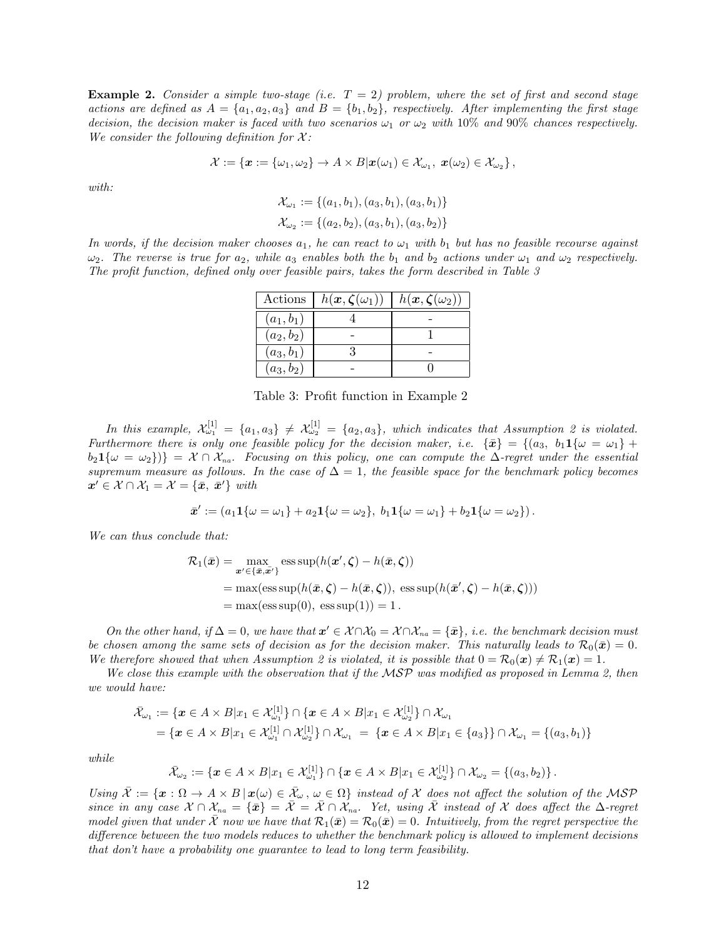**Example 2.** Consider a simple two-stage (i.e.  $T = 2$ ) problem, where the set of first and second stage actions are defined as  $A = \{a_1, a_2, a_3\}$  and  $B = \{b_1, b_2\}$ , respectively. After implementing the first stage decision, the decision maker is faced with two scenarios  $\omega_1$  or  $\omega_2$  with 10% and 90% chances respectively. We consider the following definition for  $\mathcal{X}$ :

$$
\mathcal{X} := \{ \boldsymbol{x} := \{\omega_1, \omega_2\} \to A \times B | \boldsymbol{x}(\omega_1) \in \mathcal{X}_{\omega_1}, \ \boldsymbol{x}(\omega_2) \in \mathcal{X}_{\omega_2} \},
$$

with:

$$
\mathcal{X}_{\omega_1} := \{(a_1, b_1), (a_3, b_1), (a_3, b_1)\}\
$$
  

$$
\mathcal{X}_{\omega_2} := \{(a_2, b_2), (a_3, b_1), (a_3, b_2)\}\
$$

In words, if the decision maker chooses  $a_1$ , he can react to  $\omega_1$  with  $b_1$  but has no feasible recourse against  $\omega_2$ . The reverse is true for  $a_2$ , while  $a_3$  enables both the  $b_1$  and  $b_2$  actions under  $\omega_1$  and  $\omega_2$  respectively. The profit function, defined only over feasible pairs, takes the form described in Table 3

|              | Actions $ h(x,\zeta(\omega_1)) $ | $h(\boldsymbol{x}, \boldsymbol{\zeta}(\omega_2))$ |
|--------------|----------------------------------|---------------------------------------------------|
| $(a_1, b_1)$ |                                  |                                                   |
| $(a_2, b_2)$ |                                  |                                                   |
| $(a_3, b_1)$ |                                  |                                                   |
| $(a_3, b_2)$ |                                  |                                                   |

Table 3: Profit function in Example 2

In this example,  $\mathcal{X}^{[1]}_{\omega_1} = \{a_1, a_3\} \neq \mathcal{X}^{[1]}_{\omega_2} = \{a_2, a_3\}$ , which indicates that Assumption 2 is violated. Furthermore there is only one feasible policy for the decision maker, i.e.  $\{\bar{x}\} = \{(a_3, b_1 1\{\omega = \omega_1\} +$  $b_2\mathbf{1}\{\omega=\omega_2\}\} = \mathcal{X} \cap \mathcal{X}_{na}$ . Focusing on this policy, one can compute the  $\Delta$ -regret under the essential supremum measure as follows. In the case of  $\Delta = 1$ , the feasible space for the benchmark policy becomes  $\boldsymbol{x}' \in \mathcal{X} \cap \mathcal{X}_1 = \mathcal{X} = \{\bar{\boldsymbol{x}}, \bar{\boldsymbol{x}}'\}$  with

$$
\bar{x}' := (a_1 1\{\omega = \omega_1\} + a_2 1\{\omega = \omega_2\}, b_1 1\{\omega = \omega_1\} + b_2 1\{\omega = \omega_2\}).
$$

We can thus conclude that:

$$
\mathcal{R}_1(\bar{x}) = \max_{\mathbf{x}' \in \{\bar{x}, \bar{\mathbf{x}'}\}} \operatorname{ess} \operatorname{sup}(h(\mathbf{x}', \zeta) - h(\bar{x}, \zeta))
$$
  
= max(ess sup(h(\bar{x}, \zeta) - h(\bar{x}, \zeta)), ess sup(h(\bar{x}', \zeta) - h(\bar{x}, \zeta)))  
= max(ess sup(0), ess sup(1)) = 1.

On the other hand, if  $\Delta = 0$ , we have that  $x' \in \mathcal{X} \cap \mathcal{X}_0 = \mathcal{X} \cap \mathcal{X}_{na} = {\bar{x}}$ , i.e. the benchmark decision must be chosen among the same sets of decision as for the decision maker. This naturally leads to  $\mathcal{R}_0(\bar{\mathbf{x}}) = 0$ . We therefore showed that when Assumption 2 is violated, it is possible that  $0 = \mathcal{R}_0(x) \neq \mathcal{R}_1(x) = 1$ .

We close this example with the observation that if the MSP was modified as proposed in Lemma 2, then we would have:

$$
\bar{\mathcal{X}}_{\omega_1} := \{ \mathbf{x} \in A \times B | x_1 \in \mathcal{X}_{\omega_1}^{[1]} \} \cap \{ \mathbf{x} \in A \times B | x_1 \in \mathcal{X}_{\omega_2}^{[1]} \} \cap \mathcal{X}_{\omega_1} \n= \{ \mathbf{x} \in A \times B | x_1 \in \mathcal{X}_{\omega_1}^{[1]} \cap \mathcal{X}_{\omega_2}^{[1]} \} \cap \mathcal{X}_{\omega_1} = \{ \mathbf{x} \in A \times B | x_1 \in \{a_3\} \} \cap \mathcal{X}_{\omega_1} = \{ (a_3, b_1) \}
$$

while

$$
\bar{\mathcal{X}}_{\omega_2} := \{ \boldsymbol{x} \in A \times B | x_1 \in \mathcal{X}_{\omega_1}^{[1]} \} \cap \{ \boldsymbol{x} \in A \times B | x_1 \in \mathcal{X}_{\omega_2}^{[1]} \} \cap \mathcal{X}_{\omega_2} = \{ (a_3, b_2) \}.
$$

Using  $\bar{\mathcal{X}} := \{x : \Omega \to A \times B \mid x(\omega) \in \bar{\mathcal{X}}_{\omega}, \omega \in \Omega\}$  instead of X does not affect the solution of the MSP since in any case  $\mathcal{X} \cap \mathcal{X}_{na} = {\bar{\mathcal{X}}} = \bar{\mathcal{X}} \cap \mathcal{X}_{na}$ . Yet, using  $\bar{\mathcal{X}}$  instead of  $\mathcal{X}$  does affect the  $\Delta$ -regret model given that under  $\bar{\mathcal{X}}$  now we have that  $\mathcal{R}_1(\bar{x}) = \mathcal{R}_0(\bar{x}) = 0$ . Intuitively, from the regret perspective the difference between the two models reduces to whether the benchmark policy is allowed to implement decisions that don't have a probability one guarantee to lead to long term feasibility.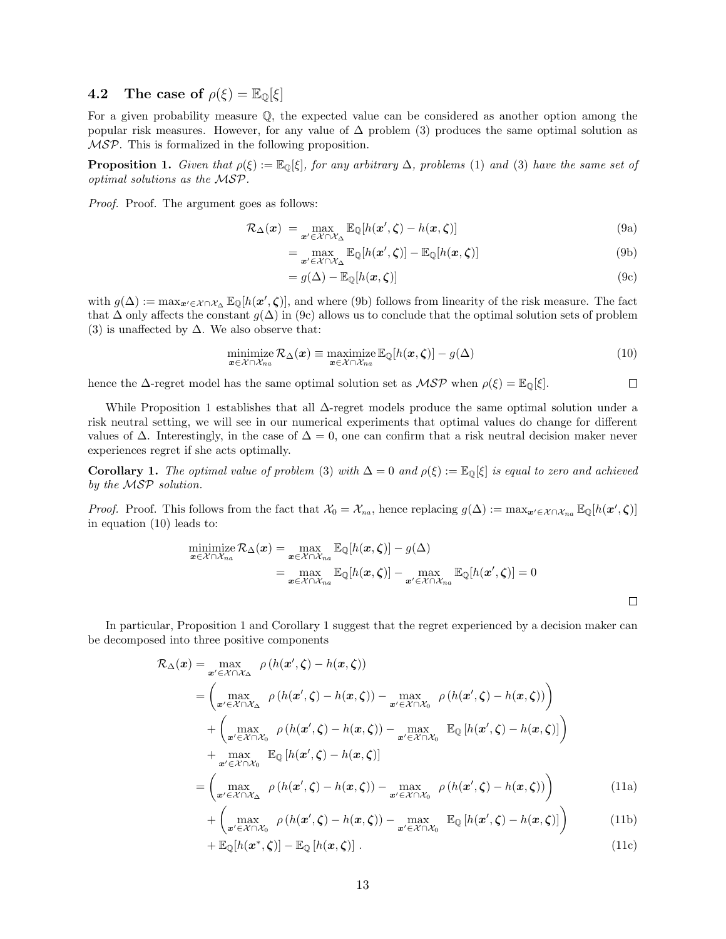### 4.2 The case of  $\rho(\xi) = \mathbb{E}_{\mathbb{Q}}[\xi]$

For a given probability measure Q, the expected value can be considered as another option among the popular risk measures. However, for any value of  $\Delta$  problem (3) produces the same optimal solution as MSP. This is formalized in the following proposition.

**Proposition 1.** Given that  $\rho(\xi) := \mathbb{E}_{\mathbb{Q}}[\xi]$ , for any arbitrary  $\Delta$ , problems (1) and (3) have the same set of optimal solutions as the MSP.

Proof. Proof. The argument goes as follows:

$$
\mathcal{R}_{\Delta}(\boldsymbol{x}) = \max_{\boldsymbol{x}' \in \mathcal{X} \cap \mathcal{X}_{\Delta}} \mathbb{E}_{\mathbb{Q}}[h(\boldsymbol{x}', \boldsymbol{\zeta}) - h(\boldsymbol{x}, \boldsymbol{\zeta})] \tag{9a}
$$

$$
= \max_{\mathbf{x}' \in \mathcal{X} \cap \mathcal{X}_{\Delta}} \mathbb{E}_{\mathbb{Q}}[h(\mathbf{x}', \zeta)] - \mathbb{E}_{\mathbb{Q}}[h(\mathbf{x}, \zeta)] \tag{9b}
$$

$$
= g(\Delta) - \mathbb{E}_{\mathbb{Q}}[h(\boldsymbol{x}, \boldsymbol{\zeta})]
$$
\n(9c)

with  $g(\Delta) := \max_{\mathbf{x}' \in \mathcal{X} \cap \mathcal{X}_{\Delta}} \mathbb{E}_{\mathbb{Q}}[h(\mathbf{x}', \zeta)],$  and where (9b) follows from linearity of the risk measure. The fact that  $\Delta$  only affects the constant  $g(\Delta)$  in (9c) allows us to conclude that the optimal solution sets of problem (3) is unaffected by  $\Delta$ . We also observe that:

$$
\underset{\boldsymbol{x}\in\mathcal{X}\cap\mathcal{X}_{na}}{\text{minimize}}\ \mathcal{R}_{\Delta}(\boldsymbol{x})\equiv\underset{\boldsymbol{x}\in\mathcal{X}\cap\mathcal{X}_{na}}{\text{maximize}}\ \mathbb{E}_{\mathbb{Q}}[h(\boldsymbol{x},\boldsymbol{\zeta})]-g(\Delta) \tag{10}
$$

hence the  $\Delta$ -regret model has the same optimal solution set as  $\mathcal{MSP}$  when  $\rho(\xi) = \mathbb{E}_{\mathbb{Q}}[\xi]$ .  $\Box$ 

While Proposition 1 establishes that all  $\Delta$ -regret models produce the same optimal solution under a risk neutral setting, we will see in our numerical experiments that optimal values do change for different values of  $\Delta$ . Interestingly, in the case of  $\Delta = 0$ , one can confirm that a risk neutral decision maker never experiences regret if she acts optimally.

**Corollary 1.** The optimal value of problem (3) with  $\Delta = 0$  and  $\rho(\xi) := \mathbb{E}_{\mathbb{Q}}[\xi]$  is equal to zero and achieved by the MSP solution.

*Proof.* Proof. This follows from the fact that  $\mathcal{X}_0 = \mathcal{X}_{na}$ , hence replacing  $g(\Delta) := \max_{\mathbf{x}' \in \mathcal{X} \cap \mathcal{X}_{na}} \mathbb{E}_{\mathbb{Q}}[h(\mathbf{x}', \zeta)]$ in equation (10) leads to:

$$
\begin{aligned}\n\min_{\mathbf{x}\in\mathcal{X}\cap\mathcal{X}_{na}} \mathcal{R}_{\Delta}(\mathbf{x}) &= \max_{\mathbf{x}\in\mathcal{X}\cap\mathcal{X}_{na}} \mathbb{E}_{\mathbb{Q}}[h(\mathbf{x},\boldsymbol{\zeta})] - g(\Delta) \\
&= \max_{\mathbf{x}\in\mathcal{X}\cap\mathcal{X}_{na}} \mathbb{E}_{\mathbb{Q}}[h(\mathbf{x},\boldsymbol{\zeta})] - \max_{\mathbf{x}'\in\mathcal{X}\cap\mathcal{X}_{na}} \mathbb{E}_{\mathbb{Q}}[h(\mathbf{x}',\boldsymbol{\zeta})] = 0\n\end{aligned}
$$

In particular, Proposition 1 and Corollary 1 suggest that the regret experienced by a decision maker can be decomposed into three positive components

$$
\mathcal{R}_{\Delta}(\boldsymbol{x}) = \max_{\boldsymbol{x}' \in \mathcal{X} \cap \mathcal{X}_{\Delta}} \rho(h(\boldsymbol{x}', \boldsymbol{\zeta}) - h(\boldsymbol{x}, \boldsymbol{\zeta}))
$$
\n
$$
= \left( \max_{\boldsymbol{x}' \in \mathcal{X} \cap \mathcal{X}_{\Delta}} \rho(h(\boldsymbol{x}', \boldsymbol{\zeta}) - h(\boldsymbol{x}, \boldsymbol{\zeta})) - \max_{\boldsymbol{x}' \in \mathcal{X} \cap \mathcal{X}_{0}} \rho(h(\boldsymbol{x}', \boldsymbol{\zeta}) - h(\boldsymbol{x}, \boldsymbol{\zeta})) \right)
$$
\n
$$
+ \left( \max_{\boldsymbol{x}' \in \mathcal{X} \cap \mathcal{X}_{0}} \rho(h(\boldsymbol{x}', \boldsymbol{\zeta}) - h(\boldsymbol{x}, \boldsymbol{\zeta})) - \max_{\boldsymbol{x}' \in \mathcal{X} \cap \mathcal{X}_{0}} \mathbb{E}_{\mathbb{Q}}[h(\boldsymbol{x}', \boldsymbol{\zeta}) - h(\boldsymbol{x}, \boldsymbol{\zeta})] \right)
$$
\n
$$
+ \max_{\boldsymbol{x}' \in \mathcal{X} \cap \mathcal{X}_{\Delta}} \mathbb{E}_{\mathbb{Q}}[h(\boldsymbol{x}', \boldsymbol{\zeta}) - h(\boldsymbol{x}, \boldsymbol{\zeta})]
$$
\n
$$
= \left( \max_{\boldsymbol{x}' \in \mathcal{X} \cap \mathcal{X}_{\Delta}} \rho(h(\boldsymbol{x}', \boldsymbol{\zeta}) - h(\boldsymbol{x}, \boldsymbol{\zeta})) - \max_{\boldsymbol{x}' \in \mathcal{X} \cap \mathcal{X}_{0}} \rho(h(\boldsymbol{x}', \boldsymbol{\zeta}) - h(\boldsymbol{x}, \boldsymbol{\zeta})) \right) \tag{11a}
$$

$$
+\left(\max_{\mathbf{x}'\in\mathcal{X}\cap\mathcal{X}_0} \rho\left(h(\mathbf{x}',\boldsymbol{\zeta})-h(\mathbf{x},\boldsymbol{\zeta})\right)-\max_{\mathbf{x}'\in\mathcal{X}\cap\mathcal{X}_0} \mathbb{E}_{\mathbb{Q}}\left[h(\mathbf{x}',\boldsymbol{\zeta})-h(\mathbf{x},\boldsymbol{\zeta})\right]\right) \tag{11b}
$$

$$
+\,\mathbb{E}_{\mathbb{Q}}[h(\boldsymbol{x}^*,\boldsymbol{\zeta})]-\mathbb{E}_{\mathbb{Q}}\left[h(\boldsymbol{x},\boldsymbol{\zeta})\right].\tag{11c}
$$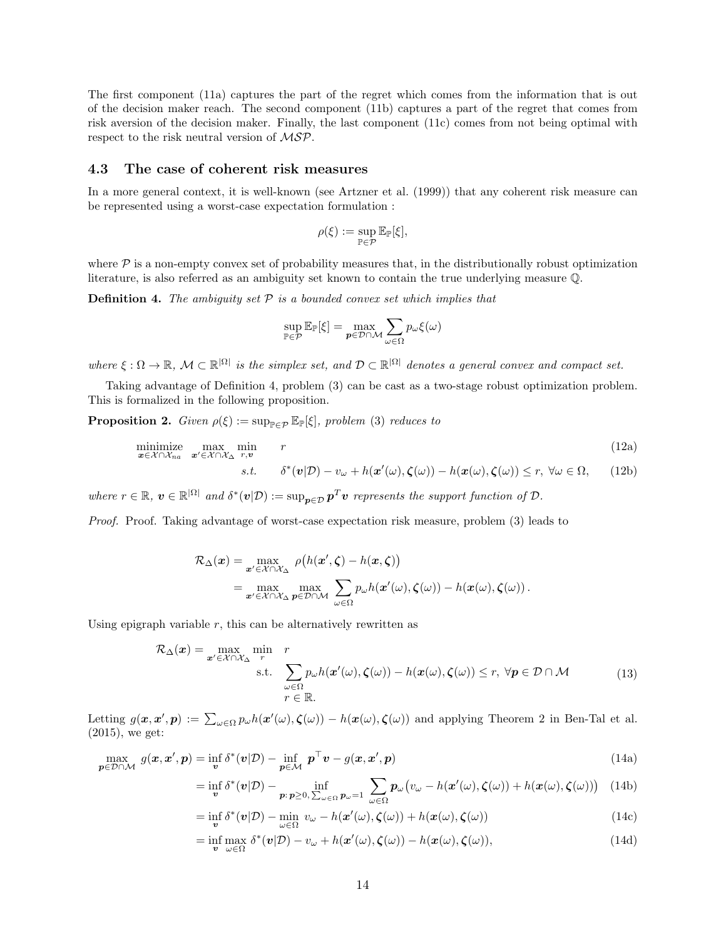The first component (11a) captures the part of the regret which comes from the information that is out of the decision maker reach. The second component (11b) captures a part of the regret that comes from risk aversion of the decision maker. Finally, the last component (11c) comes from not being optimal with respect to the risk neutral version of MSP.

### 4.3 The case of coherent risk measures

In a more general context, it is well-known (see Artzner et al. (1999)) that any coherent risk measure can be represented using a worst-case expectation formulation :

$$
\rho(\xi):=\sup_{\mathbb{P}\in\mathcal{P}}\mathbb{E}_{\mathbb{P}}[\xi],
$$

where  $P$  is a non-empty convex set of probability measures that, in the distributionally robust optimization literature, is also referred as an ambiguity set known to contain the true underlying measure Q.

**Definition 4.** The ambiguity set  $P$  is a bounded convex set which implies that

$$
\sup_{\mathbb{P}\in\mathcal{P}}\mathbb{E}_{\mathbb{P}}[\xi]=\max_{\boldsymbol{p}\in\mathcal{D}\cap\mathcal{M}}\sum_{\omega\in\Omega}p_{\omega}\xi(\omega)
$$

where  $\xi : \Omega \to \mathbb{R}, \mathcal{M} \subset \mathbb{R}^{|\Omega|}$  is the simplex set, and  $\mathcal{D} \subset \mathbb{R}^{|\Omega|}$  denotes a general convex and compact set.

Taking advantage of Definition 4, problem (3) can be cast as a two-stage robust optimization problem. This is formalized in the following proposition.

**Proposition 2.** Given  $\rho(\xi) := \sup_{\mathbb{P}\in\mathcal{P}} \mathbb{E}_{\mathbb{P}}[\xi]$ , problem (3) reduces to

minimize 
$$
\max_{\mathbf{x} \in \mathcal{X} \cap \mathcal{X}_{na}} \min_{\mathbf{x}' \in \mathcal{X} \cap \mathcal{X}_{\Delta}} \min_{r, v} \n\begin{aligned}\n& r \tag{12a} \\
& s.t. \quad \delta^*(v|\mathcal{D}) - v_\omega + h(\mathbf{x}'(\omega), \zeta(\omega)) - h(\mathbf{x}(\omega), \zeta(\omega)) \le r, \ \forall \omega \in \Omega,\n\end{aligned}
$$
\n
$$
(12a)
$$

where  $r \in \mathbb{R}$ ,  $v \in \mathbb{R}^{|\Omega|}$  and  $\delta^*(v|\mathcal{D}) := \sup_{p \in \mathcal{D}} p^T v$  represents the support function of  $\mathcal{D}$ .

Proof. Proof. Taking advantage of worst-case expectation risk measure, problem (3) leads to

$$
\mathcal{R}_{\Delta}(\boldsymbol{x}) = \max_{\boldsymbol{x}' \in \mathcal{X} \cap \mathcal{X}_{\Delta}} \rho(h(\boldsymbol{x}', \boldsymbol{\zeta}) - h(\boldsymbol{x}, \boldsymbol{\zeta}))
$$
  
= 
$$
\max_{\boldsymbol{x}' \in \mathcal{X} \cap \mathcal{X}_{\Delta}} \max_{\boldsymbol{p} \in \mathcal{D} \cap \mathcal{M}} \sum_{\omega \in \Omega} p_{\omega} h(\boldsymbol{x}'(\omega), \boldsymbol{\zeta}(\omega)) - h(\boldsymbol{x}(\omega), \boldsymbol{\zeta}(\omega)).
$$

Using epigraph variable  $r$ , this can be alternatively rewritten as

$$
\mathcal{R}_{\Delta}(\boldsymbol{x}) = \max_{\boldsymbol{x}' \in \mathcal{X} \cap \mathcal{X}_{\Delta}} \min_{r} \quad r \quad \text{s.t.} \quad \sum_{\omega \in \Omega} p_{\omega} h(\boldsymbol{x}'(\omega), \boldsymbol{\zeta}(\omega)) - h(\boldsymbol{x}(\omega), \boldsymbol{\zeta}(\omega)) \le r, \ \forall \boldsymbol{p} \in \mathcal{D} \cap \mathcal{M} \quad (13)
$$
\n
$$
r \in \mathbb{R}.
$$

Letting  $g(x, x', p) := \sum_{\omega \in \Omega} p_{\omega} h(x'(\omega), \zeta(\omega)) - h(x(\omega), \zeta(\omega))$  and applying Theorem 2 in Ben-Tal et al. (2015), we get:

$$
\max_{\mathbf{p}\in\mathcal{D}\cap\mathcal{M}} g(\mathbf{x}, \mathbf{x}', \mathbf{p}) = \inf_{\mathbf{v}} \delta^*(\mathbf{v}|\mathcal{D}) - \inf_{\mathbf{p}\in\mathcal{M}} \mathbf{p}^\top \mathbf{v} - g(\mathbf{x}, \mathbf{x}', \mathbf{p})
$$
(14a)

$$
= \inf_{\mathbf{v}} \delta^*(\mathbf{v}|\mathcal{D}) - \inf_{\mathbf{p}:\,\mathbf{p}\geq 0,\,\sum_{\omega\in\Omega} \mathbf{p}_{\omega}=1} \sum_{\omega\in\Omega} \mathbf{p}_{\omega}(v_{\omega}-h(\mathbf{x}'(\omega),\boldsymbol{\zeta}(\omega)) + h(\mathbf{x}(\omega),\boldsymbol{\zeta}(\omega))) \tag{14b}
$$

$$
= \inf_{\mathbf{v}} \delta^*(\mathbf{v}|\mathcal{D}) - \min_{\omega \in \Omega} \ v_{\omega} - h(\mathbf{x}'(\omega), \boldsymbol{\zeta}(\omega)) + h(\mathbf{x}(\omega), \boldsymbol{\zeta}(\omega)) \tag{14c}
$$

$$
= \inf_{\mathbf{v}} \max_{\omega \in \Omega} \delta^*(\mathbf{v}|\mathcal{D}) - v_\omega + h(\mathbf{x}'(\omega), \boldsymbol{\zeta}(\omega)) - h(\mathbf{x}(\omega), \boldsymbol{\zeta}(\omega)), \tag{14d}
$$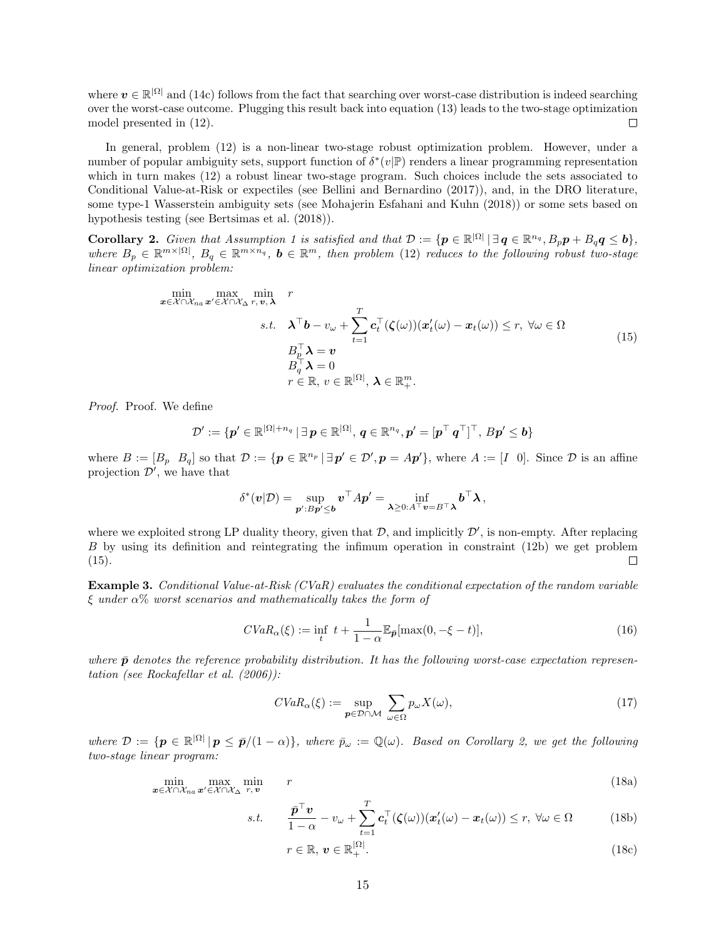where  $v \in \mathbb{R}^{|\Omega|}$  and (14c) follows from the fact that searching over worst-case distribution is indeed searching over the worst-case outcome. Plugging this result back into equation (13) leads to the two-stage optimization model presented in (12).  $\Box$ 

In general, problem (12) is a non-linear two-stage robust optimization problem. However, under a number of popular ambiguity sets, support function of  $\delta^*(v|\mathbb{P})$  renders a linear programming representation which in turn makes (12) a robust linear two-stage program. Such choices include the sets associated to Conditional Value-at-Risk or expectiles (see Bellini and Bernardino (2017)), and, in the DRO literature, some type-1 Wasserstein ambiguity sets (see Mohajerin Esfahani and Kuhn (2018)) or some sets based on hypothesis testing (see Bertsimas et al. (2018)).

**Corollary 2.** Given that Assumption 1 is satisfied and that  $\mathcal{D} := \{ \mathbf{p} \in \mathbb{R}^{|\Omega|} \mid \exists \mathbf{q} \in \mathbb{R}^{n_q}, B_p \mathbf{p} + B_q \mathbf{q} \leq \mathbf{b} \},\$ where  $B_p \in \mathbb{R}^{m \times |\Omega|}$ ,  $B_q \in \mathbb{R}^{m \times n_q}$ ,  $b \in \mathbb{R}^m$ , then problem (12) reduces to the following robust two-stage linear optimization problem:

$$
\min_{\mathbf{x} \in \mathcal{X} \cap \mathcal{X}_{na}} \max_{\mathbf{x}' \in \mathcal{X} \cap \mathcal{X}_{\Delta} \ r, \ v, \lambda} \ n
$$
\n
$$
s.t. \quad \lambda^{\top} \mathbf{b} - v_{\omega} + \sum_{t=1}^{T} \mathbf{c}_{t}^{\top} (\zeta(\omega)) (\mathbf{x}'_{t}(\omega) - \mathbf{x}_{t}(\omega)) \le r, \ \forall \omega \in \Omega
$$
\n
$$
B_{\varrho}^{\top} \lambda = v
$$
\n
$$
B_{\varrho}^{\top} \lambda = 0
$$
\n
$$
r \in \mathbb{R}, \ v \in \mathbb{R}^{|\Omega|}, \ \lambda \in \mathbb{R}_{+}^{m}.
$$
\n
$$
(15)
$$

Proof. Proof. We define

$$
\mathcal{D}':=\{\boldsymbol{p}'\in\mathbb{R}^{|\Omega|+n_q}\,|\,\exists\,\boldsymbol{p}\in\mathbb{R}^{|\Omega|},\,\boldsymbol{q}\in\mathbb{R}^{n_q},\boldsymbol{p}'=[\boldsymbol{p}^\top\,\boldsymbol{q}^\top]^\top,\,B\boldsymbol{p}'\leq\boldsymbol{b}\}
$$

where  $B := [B_p \ B_q]$  so that  $\mathcal{D} := \{p \in \mathbb{R}^{n_p} \mid \exists p' \in \mathcal{D}', p = Ap'\}$ , where  $A := [I \ 0]$ . Since  $\mathcal{D}$  is an affine projection  $\mathcal{D}'$ , we have that

$$
\delta^*(\mathbf{v}|\mathcal{D}) = \sup_{\mathbf{p}':B\mathbf{p}'\leq \mathbf{b}} \mathbf{v}^\top A \mathbf{p}' = \inf_{\lambda \geq 0:A^\top \mathbf{v} = B^\top \lambda} \mathbf{b}^\top \lambda,
$$

where we exploited strong LP duality theory, given that  $D$ , and implicitly  $D'$ , is non-empty. After replacing B by using its definition and reintegrating the infimum operation in constraint (12b) we get problem (15).  $\Box$ 

**Example 3.** Conditional Value-at-Risk (CVaR) evaluates the conditional expectation of the random variable  $\xi$  under  $\alpha$ % worst scenarios and mathematically takes the form of

$$
CVaR_{\alpha}(\xi) := \inf_{t} \ t + \frac{1}{1-\alpha} \mathbb{E}_{\bar{p}}[\max(0, -\xi - t)],\tag{16}
$$

where  $\bar{p}$  denotes the reference probability distribution. It has the following worst-case expectation representation (see Rockafellar et al. (2006)):

$$
CVaR_{\alpha}(\xi) := \sup_{\mathbf{p} \in \mathcal{D} \cap \mathcal{M}} \sum_{\omega \in \Omega} p_{\omega} X(\omega), \tag{17}
$$

where  $\mathcal{D} := \{ \mathbf{p} \in \mathbb{R}^{|\Omega|} \, | \, \mathbf{p} \le \bar{\mathbf{p}}/(1-\alpha) \},\$  where  $\bar{p}_{\omega} := \mathbb{Q}(\omega)$ . Based on Corollary 2, we get the following two-stage linear program:

$$
\min_{\mathbf{x}\in\mathcal{X}\cap\mathcal{X}_{na}}\max_{\mathbf{x}'\in\mathcal{X}\cap\mathcal{X}_{\Delta}}\min_{r,\mathbf{v}}\qquad r\tag{18a}
$$

$$
s.t. \qquad \frac{\bar{\mathbf{p}}^{\top}\mathbf{v}}{1-\alpha} - v_{\omega} + \sum_{t=1}^{T} \mathbf{c}_t^{\top}(\boldsymbol{\zeta}(\omega))(\mathbf{x}_t'(\omega) - \mathbf{x}_t(\omega)) \le r, \ \forall \omega \in \Omega \tag{18b}
$$

$$
r \in \mathbb{R}, \, \boldsymbol{v} \in \mathbb{R}_+^{|\Omega|}.\tag{18c}
$$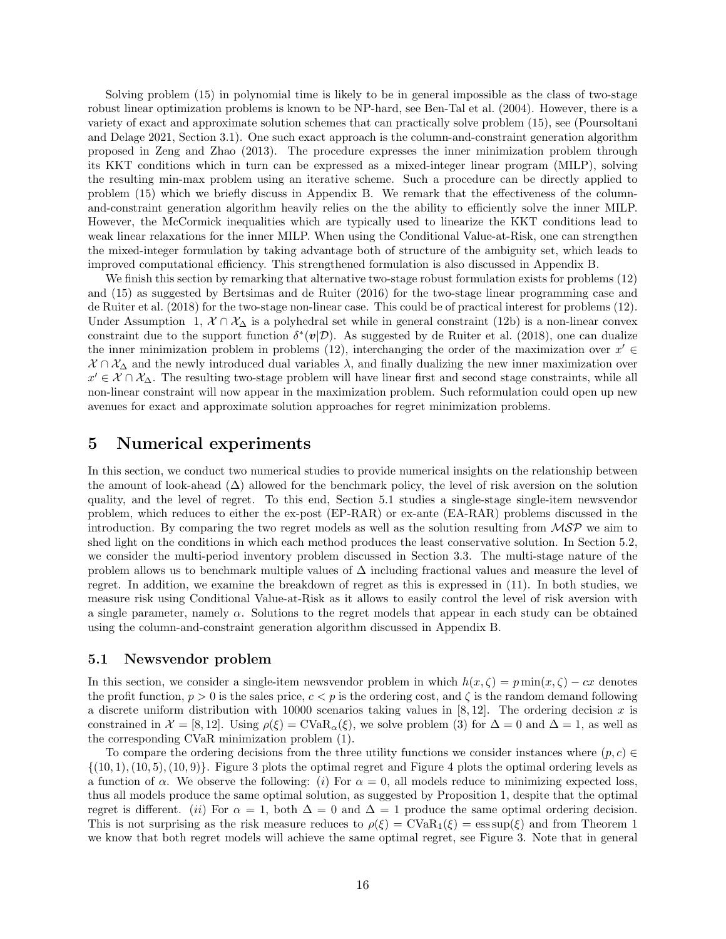Solving problem (15) in polynomial time is likely to be in general impossible as the class of two-stage robust linear optimization problems is known to be NP-hard, see Ben-Tal et al. (2004). However, there is a variety of exact and approximate solution schemes that can practically solve problem (15), see (Poursoltani and Delage 2021, Section 3.1). One such exact approach is the column-and-constraint generation algorithm proposed in Zeng and Zhao (2013). The procedure expresses the inner minimization problem through its KKT conditions which in turn can be expressed as a mixed-integer linear program (MILP), solving the resulting min-max problem using an iterative scheme. Such a procedure can be directly applied to problem (15) which we briefly discuss in Appendix B. We remark that the effectiveness of the columnand-constraint generation algorithm heavily relies on the the ability to efficiently solve the inner MILP. However, the McCormick inequalities which are typically used to linearize the KKT conditions lead to weak linear relaxations for the inner MILP. When using the Conditional Value-at-Risk, one can strengthen the mixed-integer formulation by taking advantage both of structure of the ambiguity set, which leads to improved computational efficiency. This strengthened formulation is also discussed in Appendix B.

We finish this section by remarking that alternative two-stage robust formulation exists for problems (12) and (15) as suggested by Bertsimas and de Ruiter (2016) for the two-stage linear programming case and de Ruiter et al. (2018) for the two-stage non-linear case. This could be of practical interest for problems (12). Under Assumption 1,  $X \cap X_{\Delta}$  is a polyhedral set while in general constraint (12b) is a non-linear convex constraint due to the support function  $\delta^*(v|\mathcal{D})$ . As suggested by de Ruiter et al. (2018), one can dualize the inner minimization problem in problems (12), interchanging the order of the maximization over  $x' \in$  $X \cap X_\Delta$  and the newly introduced dual variables  $\lambda$ , and finally dualizing the new inner maximization over  $x' \in \mathcal{X} \cap \mathcal{X}_{\Delta}$ . The resulting two-stage problem will have linear first and second stage constraints, while all non-linear constraint will now appear in the maximization problem. Such reformulation could open up new avenues for exact and approximate solution approaches for regret minimization problems.

### 5 Numerical experiments

In this section, we conduct two numerical studies to provide numerical insights on the relationship between the amount of look-ahead  $(\Delta)$  allowed for the benchmark policy, the level of risk aversion on the solution quality, and the level of regret. To this end, Section 5.1 studies a single-stage single-item newsvendor problem, which reduces to either the ex-post (EP-RAR) or ex-ante (EA-RAR) problems discussed in the introduction. By comparing the two regret models as well as the solution resulting from  $\mathcal{MSP}$  we aim to shed light on the conditions in which each method produces the least conservative solution. In Section 5.2, we consider the multi-period inventory problem discussed in Section 3.3. The multi-stage nature of the problem allows us to benchmark multiple values of  $\Delta$  including fractional values and measure the level of regret. In addition, we examine the breakdown of regret as this is expressed in (11). In both studies, we measure risk using Conditional Value-at-Risk as it allows to easily control the level of risk aversion with a single parameter, namely  $\alpha$ . Solutions to the regret models that appear in each study can be obtained using the column-and-constraint generation algorithm discussed in Appendix B.

#### 5.1 Newsvendor problem

In this section, we consider a single-item newsvendor problem in which  $h(x,\zeta) = p \min(x,\zeta) - cx$  denotes the profit function,  $p > 0$  is the sales price,  $c < p$  is the ordering cost, and  $\zeta$  is the random demand following a discrete uniform distribution with 10000 scenarios taking values in  $[8, 12]$ . The ordering decision x is constrained in  $\mathcal{X} = [8, 12]$ . Using  $\rho(\xi) = \text{CVaR}_{\alpha}(\xi)$ , we solve problem (3) for  $\Delta = 0$  and  $\Delta = 1$ , as well as the corresponding CVaR minimization problem (1).

To compare the ordering decisions from the three utility functions we consider instances where  $(p, c) \in$  $\{(10, 1), (10, 5), (10, 9)\}.$  Figure 3 plots the optimal regret and Figure 4 plots the optimal ordering levels as a function of  $\alpha$ . We observe the following: (i) For  $\alpha = 0$ , all models reduce to minimizing expected loss, thus all models produce the same optimal solution, as suggested by Proposition 1, despite that the optimal regret is different. (ii) For  $\alpha = 1$ , both  $\Delta = 0$  and  $\Delta = 1$  produce the same optimal ordering decision. This is not surprising as the risk measure reduces to  $\rho(\xi) = \text{CVaR}_1(\xi) = \text{ess sup}(\xi)$  and from Theorem 1 we know that both regret models will achieve the same optimal regret, see Figure 3. Note that in general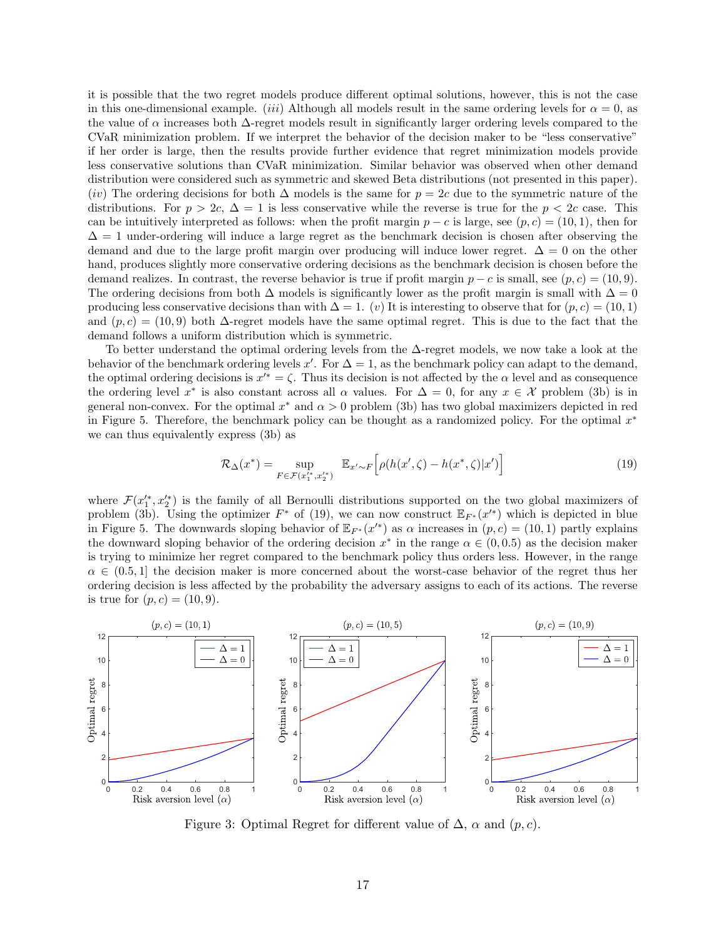it is possible that the two regret models produce different optimal solutions, however, this is not the case in this one-dimensional example. (iii) Although all models result in the same ordering levels for  $\alpha = 0$ , as the value of  $\alpha$  increases both  $\Delta$ -regret models result in significantly larger ordering levels compared to the CVaR minimization problem. If we interpret the behavior of the decision maker to be "less conservative" if her order is large, then the results provide further evidence that regret minimization models provide less conservative solutions than CVaR minimization. Similar behavior was observed when other demand distribution were considered such as symmetric and skewed Beta distributions (not presented in this paper). (iv) The ordering decisions for both  $\Delta$  models is the same for  $p = 2c$  due to the symmetric nature of the distributions. For  $p > 2c$ ,  $\Delta = 1$  is less conservative while the reverse is true for the  $p < 2c$  case. This can be intuitively interpreted as follows: when the profit margin  $p - c$  is large, see  $(p, c) = (10, 1)$ , then for  $\Delta = 1$  under-ordering will induce a large regret as the benchmark decision is chosen after observing the demand and due to the large profit margin over producing will induce lower regret.  $\Delta = 0$  on the other hand, produces slightly more conservative ordering decisions as the benchmark decision is chosen before the demand realizes. In contrast, the reverse behavior is true if profit margin  $p - c$  is small, see  $(p, c) = (10, 9)$ . The ordering decisions from both  $\Delta$  models is significantly lower as the profit margin is small with  $\Delta = 0$ producing less conservative decisions than with  $\Delta = 1$ . (v) It is interesting to observe that for  $(p, c) = (10, 1)$ and  $(p, c) = (10, 9)$  both  $\Delta$ -regret models have the same optimal regret. This is due to the fact that the demand follows a uniform distribution which is symmetric.

To better understand the optimal ordering levels from the ∆-regret models, we now take a look at the behavior of the benchmark ordering levels x'. For  $\Delta = 1$ , as the benchmark policy can adapt to the demand, the optimal ordering decisions is  $x'^* = \zeta$ . Thus its decision is not affected by the  $\alpha$  level and as consequence the ordering level x<sup>\*</sup> is also constant across all  $\alpha$  values. For  $\Delta = 0$ , for any  $x \in \mathcal{X}$  problem (3b) is in general non-convex. For the optimal  $x^*$  and  $\alpha > 0$  problem (3b) has two global maximizers depicted in red in Figure 5. Therefore, the benchmark policy can be thought as a randomized policy. For the optimal  $x^*$ we can thus equivalently express (3b) as

$$
\mathcal{R}_{\Delta}(x^*) = \sup_{F \in \mathcal{F}(x_1^{'}*, x_2^{'}*)} \mathbb{E}_{x' \sim F} \left[ \rho(h(x', \zeta) - h(x^*, \zeta)|x') \right] \tag{19}
$$

where  $\mathcal{F}(x_1^{\prime\ast},x_2^{\prime\ast})$  is the family of all Bernoulli distributions supported on the two global maximizers of problem (3b). Using the optimizer  $F^*$  of (19), we can now construct  $\mathbb{E}_{F^*}(x'^*)$  which is depicted in blue in Figure 5. The downwards sloping behavior of  $\mathbb{E}_{F^*}(x'^*)$  as  $\alpha$  increases in  $(p, c) = (10, 1)$  partly explains the downward sloping behavior of the ordering decision  $x^*$  in the range  $\alpha \in (0, 0.5)$  as the decision maker is trying to minimize her regret compared to the benchmark policy thus orders less. However, in the range  $\alpha \in (0.5, 1]$  the decision maker is more concerned about the worst-case behavior of the regret thus her ordering decision is less affected by the probability the adversary assigns to each of its actions. The reverse is true for  $(p, c) = (10, 9)$ .



Figure 3: Optimal Regret for different value of  $\Delta$ ,  $\alpha$  and  $(p, c)$ .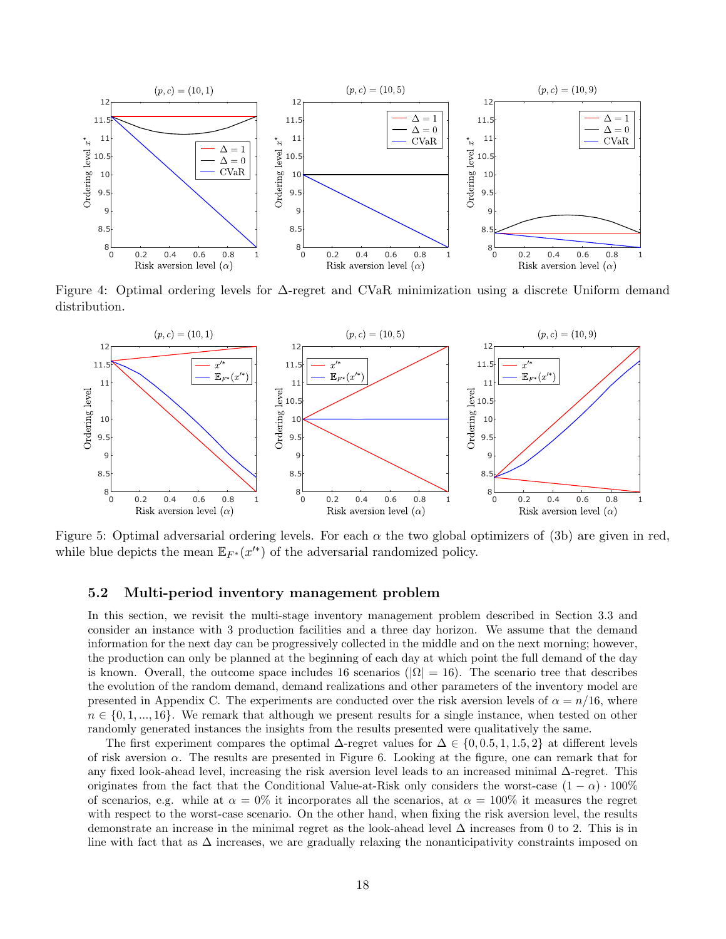

Figure 4: Optimal ordering levels for ∆-regret and CVaR minimization using a discrete Uniform demand distribution.



Figure 5: Optimal adversarial ordering levels. For each  $\alpha$  the two global optimizers of (3b) are given in red, while blue depicts the mean  $\mathbb{E}_{F^*}(x^{\prime *})$  of the adversarial randomized policy.

### 5.2 Multi-period inventory management problem

In this section, we revisit the multi-stage inventory management problem described in Section 3.3 and consider an instance with 3 production facilities and a three day horizon. We assume that the demand information for the next day can be progressively collected in the middle and on the next morning; however, the production can only be planned at the beginning of each day at which point the full demand of the day is known. Overall, the outcome space includes 16 scenarios ( $|\Omega| = 16$ ). The scenario tree that describes the evolution of the random demand, demand realizations and other parameters of the inventory model are presented in Appendix C. The experiments are conducted over the risk aversion levels of  $\alpha = n/16$ , where  $n \in \{0, 1, ..., 16\}$ . We remark that although we present results for a single instance, when tested on other randomly generated instances the insights from the results presented were qualitatively the same.

The first experiment compares the optimal  $\Delta$ -regret values for  $\Delta \in \{0, 0.5, 1, 1.5, 2\}$  at different levels of risk aversion  $\alpha$ . The results are presented in Figure 6. Looking at the figure, one can remark that for any fixed look-ahead level, increasing the risk aversion level leads to an increased minimal ∆-regret. This originates from the fact that the Conditional Value-at-Risk only considers the worst-case  $(1 - \alpha) \cdot 100\%$ of scenarios, e.g. while at  $\alpha = 0\%$  it incorporates all the scenarios, at  $\alpha = 100\%$  it measures the regret with respect to the worst-case scenario. On the other hand, when fixing the risk aversion level, the results demonstrate an increase in the minimal regret as the look-ahead level  $\Delta$  increases from 0 to 2. This is in line with fact that as  $\Delta$  increases, we are gradually relaxing the nonanticipativity constraints imposed on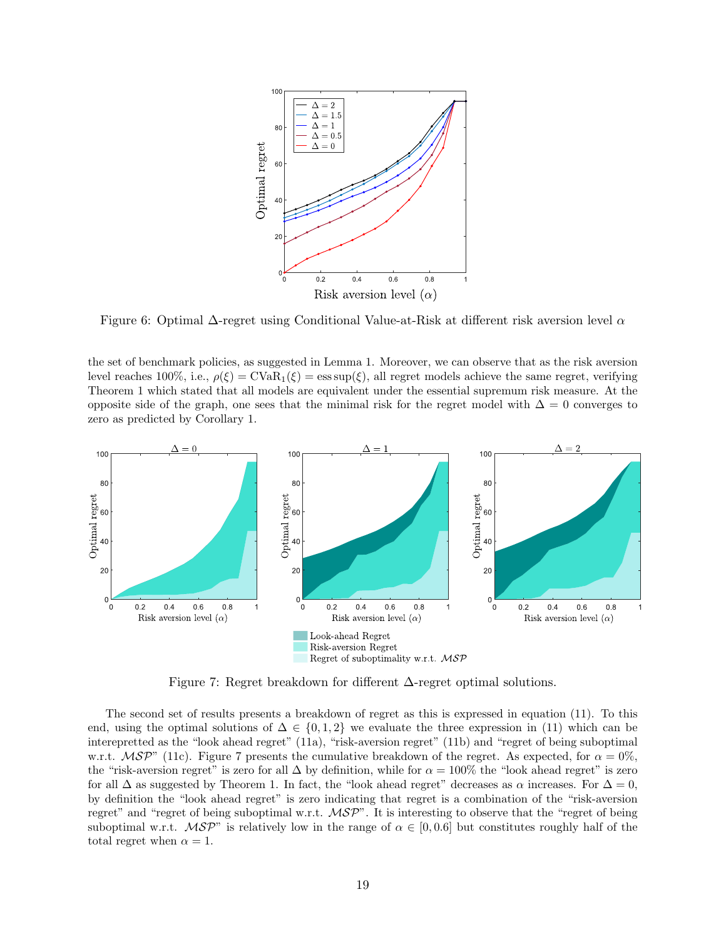

Figure 6: Optimal  $\Delta$ -regret using Conditional Value-at-Risk at different risk aversion level  $\alpha$ 

the set of benchmark policies, as suggested in Lemma 1. Moreover, we can observe that as the risk aversion level reaches 100%, i.e.,  $\rho(\xi) = \text{CVaR}_1(\xi) = \text{ess sup}(\xi)$ , all regret models achieve the same regret, verifying Theorem 1 which stated that all models are equivalent under the essential supremum risk measure. At the opposite side of the graph, one sees that the minimal risk for the regret model with  $\Delta = 0$  converges to zero as predicted by Corollary 1.



Figure 7: Regret breakdown for different ∆-regret optimal solutions.

The second set of results presents a breakdown of regret as this is expressed in equation (11). To this end, using the optimal solutions of  $\Delta \in \{0, 1, 2\}$  we evaluate the three expression in (11) which can be interepretted as the "look ahead regret" (11a), "risk-aversion regret" (11b) and "regret of being suboptimal w.r.t.  $\mathcal{MSP}^{\prime\prime}$  (11c). Figure 7 presents the cumulative breakdown of the regret. As expected, for  $\alpha = 0\%$ , the "risk-aversion regret" is zero for all  $\Delta$  by definition, while for  $\alpha = 100\%$  the "look ahead regret" is zero for all  $\Delta$  as suggested by Theorem 1. In fact, the "look ahead regret" decreases as  $\alpha$  increases. For  $\Delta = 0$ , by definition the "look ahead regret" is zero indicating that regret is a combination of the "risk-aversion regret" and "regret of being suboptimal w.r.t.  $\mathcal{MSP}$ ". It is interesting to observe that the "regret of being suboptimal w.r.t.  $\mathcal{MSP}$ " is relatively low in the range of  $\alpha \in [0,0.6]$  but constitutes roughly half of the total regret when  $\alpha = 1$ .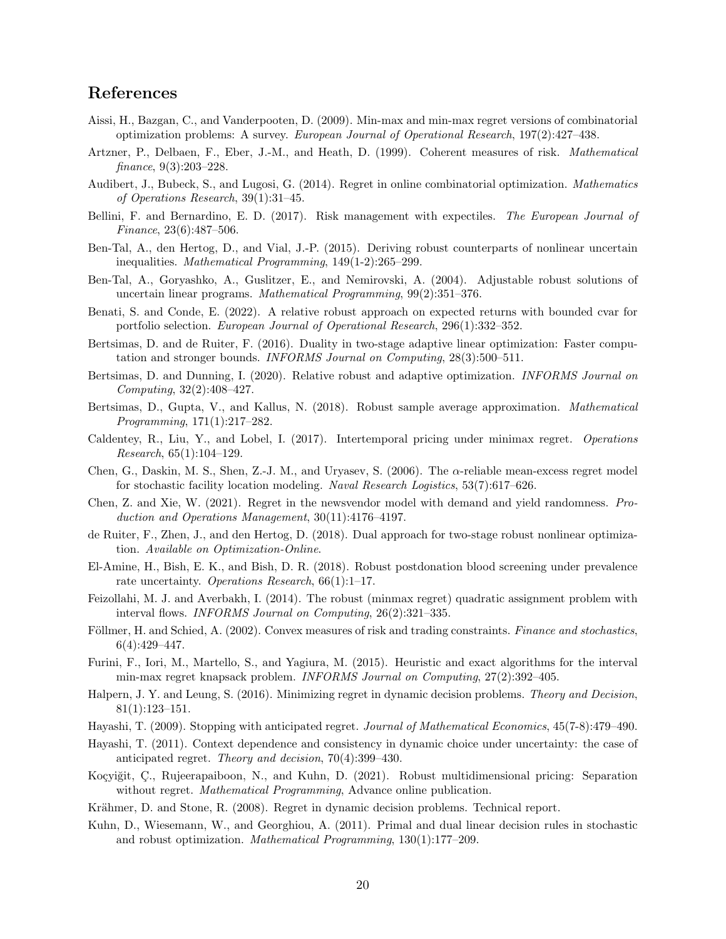## References

- Aissi, H., Bazgan, C., and Vanderpooten, D. (2009). Min-max and min-max regret versions of combinatorial optimization problems: A survey. European Journal of Operational Research, 197(2):427–438.
- Artzner, P., Delbaen, F., Eber, J.-M., and Heath, D. (1999). Coherent measures of risk. Mathematical finance, 9(3):203–228.
- Audibert, J., Bubeck, S., and Lugosi, G. (2014). Regret in online combinatorial optimization. Mathematics of Operations Research, 39(1):31–45.
- Bellini, F. and Bernardino, E. D. (2017). Risk management with expectiles. The European Journal of Finance, 23(6):487–506.
- Ben-Tal, A., den Hertog, D., and Vial, J.-P. (2015). Deriving robust counterparts of nonlinear uncertain inequalities. Mathematical Programming, 149(1-2):265–299.
- Ben-Tal, A., Goryashko, A., Guslitzer, E., and Nemirovski, A. (2004). Adjustable robust solutions of uncertain linear programs. Mathematical Programming, 99(2):351–376.
- Benati, S. and Conde, E. (2022). A relative robust approach on expected returns with bounded cvar for portfolio selection. European Journal of Operational Research, 296(1):332–352.
- Bertsimas, D. and de Ruiter, F. (2016). Duality in two-stage adaptive linear optimization: Faster computation and stronger bounds. INFORMS Journal on Computing, 28(3):500–511.
- Bertsimas, D. and Dunning, I. (2020). Relative robust and adaptive optimization. INFORMS Journal on Computing, 32(2):408–427.
- Bertsimas, D., Gupta, V., and Kallus, N. (2018). Robust sample average approximation. Mathematical Programming, 171(1):217–282.
- Caldentey, R., Liu, Y., and Lobel, I. (2017). Intertemporal pricing under minimax regret. Operations Research, 65(1):104–129.
- Chen, G., Daskin, M. S., Shen, Z.-J. M., and Uryasev, S. (2006). The  $\alpha$ -reliable mean-excess regret model for stochastic facility location modeling. Naval Research Logistics, 53(7):617–626.
- Chen, Z. and Xie, W. (2021). Regret in the newsvendor model with demand and yield randomness. Production and Operations Management, 30(11):4176–4197.
- de Ruiter, F., Zhen, J., and den Hertog, D. (2018). Dual approach for two-stage robust nonlinear optimization. Available on Optimization-Online.
- El-Amine, H., Bish, E. K., and Bish, D. R. (2018). Robust postdonation blood screening under prevalence rate uncertainty. *Operations Research*, 66(1):1-17.
- Feizollahi, M. J. and Averbakh, I. (2014). The robust (minmax regret) quadratic assignment problem with interval flows. INFORMS Journal on Computing, 26(2):321–335.
- Föllmer, H. and Schied, A. (2002). Convex measures of risk and trading constraints. Finance and stochastics, 6(4):429–447.
- Furini, F., Iori, M., Martello, S., and Yagiura, M. (2015). Heuristic and exact algorithms for the interval min-max regret knapsack problem. INFORMS Journal on Computing, 27(2):392–405.
- Halpern, J. Y. and Leung, S. (2016). Minimizing regret in dynamic decision problems. Theory and Decision, 81(1):123–151.
- Hayashi, T. (2009). Stopping with anticipated regret. Journal of Mathematical Economics, 45(7-8):479–490.
- Hayashi, T. (2011). Context dependence and consistency in dynamic choice under uncertainty: the case of anticipated regret. Theory and decision, 70(4):399–430.
- Koçyiğit, Ç., Rujeerapaiboon, N., and Kuhn, D. (2021). Robust multidimensional pricing: Separation without regret. *Mathematical Programming*, Advance online publication.
- Krähmer, D. and Stone, R. (2008). Regret in dynamic decision problems. Technical report.
- Kuhn, D., Wiesemann, W., and Georghiou, A. (2011). Primal and dual linear decision rules in stochastic and robust optimization. Mathematical Programming, 130(1):177–209.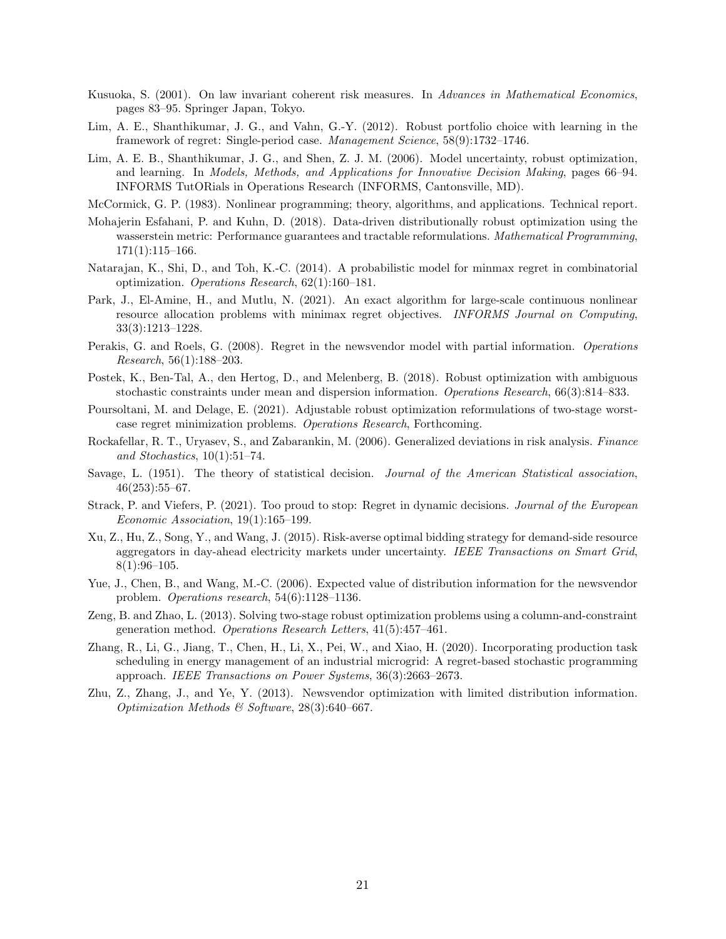- Kusuoka, S. (2001). On law invariant coherent risk measures. In Advances in Mathematical Economics, pages 83–95. Springer Japan, Tokyo.
- Lim, A. E., Shanthikumar, J. G., and Vahn, G.-Y. (2012). Robust portfolio choice with learning in the framework of regret: Single-period case. Management Science, 58(9):1732–1746.
- Lim, A. E. B., Shanthikumar, J. G., and Shen, Z. J. M. (2006). Model uncertainty, robust optimization, and learning. In Models, Methods, and Applications for Innovative Decision Making, pages 66–94. INFORMS TutORials in Operations Research (INFORMS, Cantonsville, MD).
- McCormick, G. P. (1983). Nonlinear programming; theory, algorithms, and applications. Technical report.
- Mohajerin Esfahani, P. and Kuhn, D. (2018). Data-driven distributionally robust optimization using the wasserstein metric: Performance guarantees and tractable reformulations. *Mathematical Programming*, 171(1):115–166.
- Natarajan, K., Shi, D., and Toh, K.-C. (2014). A probabilistic model for minmax regret in combinatorial optimization. Operations Research, 62(1):160–181.
- Park, J., El-Amine, H., and Mutlu, N. (2021). An exact algorithm for large-scale continuous nonlinear resource allocation problems with minimax regret objectives. INFORMS Journal on Computing, 33(3):1213–1228.
- Perakis, G. and Roels, G. (2008). Regret in the newsvendor model with partial information. Operations Research, 56(1):188–203.
- Postek, K., Ben-Tal, A., den Hertog, D., and Melenberg, B. (2018). Robust optimization with ambiguous stochastic constraints under mean and dispersion information. Operations Research, 66(3):814–833.
- Poursoltani, M. and Delage, E. (2021). Adjustable robust optimization reformulations of two-stage worstcase regret minimization problems. Operations Research, Forthcoming.
- Rockafellar, R. T., Uryasev, S., and Zabarankin, M. (2006). Generalized deviations in risk analysis. Finance and Stochastics, 10(1):51–74.
- Savage, L. (1951). The theory of statistical decision. Journal of the American Statistical association, 46(253):55–67.
- Strack, P. and Viefers, P. (2021). Too proud to stop: Regret in dynamic decisions. Journal of the European Economic Association, 19(1):165–199.
- Xu, Z., Hu, Z., Song, Y., and Wang, J. (2015). Risk-averse optimal bidding strategy for demand-side resource aggregators in day-ahead electricity markets under uncertainty. IEEE Transactions on Smart Grid,  $8(1):96-105.$
- Yue, J., Chen, B., and Wang, M.-C. (2006). Expected value of distribution information for the newsvendor problem. Operations research, 54(6):1128–1136.
- Zeng, B. and Zhao, L. (2013). Solving two-stage robust optimization problems using a column-and-constraint generation method. Operations Research Letters, 41(5):457–461.
- Zhang, R., Li, G., Jiang, T., Chen, H., Li, X., Pei, W., and Xiao, H. (2020). Incorporating production task scheduling in energy management of an industrial microgrid: A regret-based stochastic programming approach. IEEE Transactions on Power Systems, 36(3):2663–2673.
- Zhu, Z., Zhang, J., and Ye, Y. (2013). Newsvendor optimization with limited distribution information. Optimization Methods & Software, 28(3):640–667.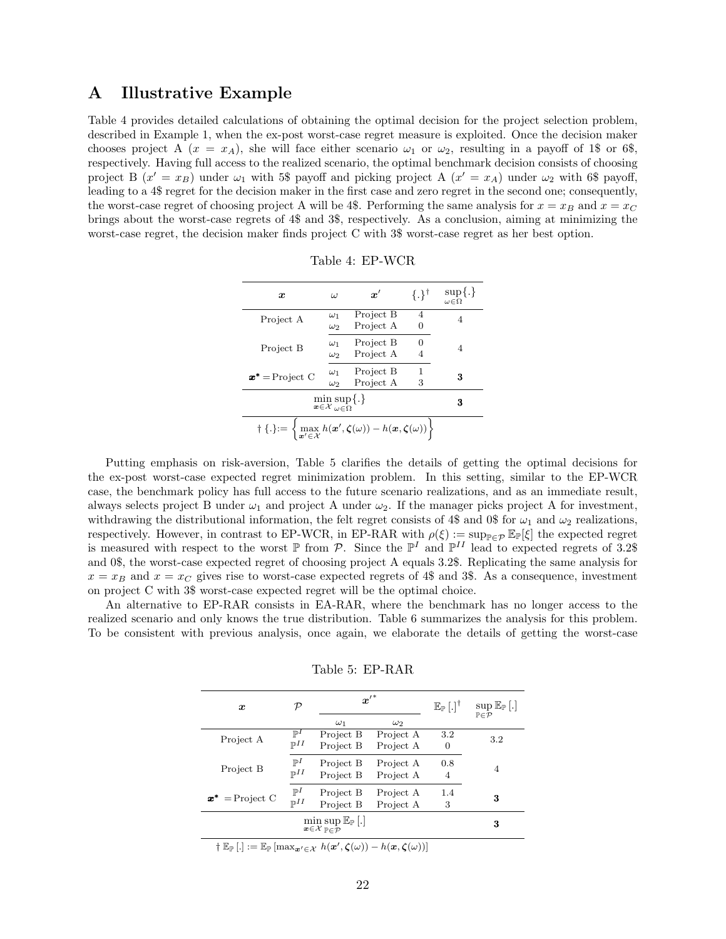## A Illustrative Example

Table 4 provides detailed calculations of obtaining the optimal decision for the project selection problem, described in Example 1, when the ex-post worst-case regret measure is exploited. Once the decision maker chooses project A  $(x = x_A)$ , she will face either scenario  $\omega_1$  or  $\omega_2$ , resulting in a payoff of 1\$ or 6\$, respectively. Having full access to the realized scenario, the optimal benchmark decision consists of choosing project B  $(x' = x_B)$  under  $\omega_1$  with 5\$ payoff and picking project A  $(x' = x_A)$  under  $\omega_2$  with 6\$ payoff, leading to a 4\$ regret for the decision maker in the first case and zero regret in the second one; consequently, the worst-case regret of choosing project A will be 4\$. Performing the same analysis for  $x = x_B$  and  $x = x_C$ brings about the worst-case regrets of 4\$ and 3\$, respectively. As a conclusion, aiming at minimizing the worst-case regret, the decision maker finds project C with 3\$ worst-case regret as her best option.

| Table 4: EP-WCR |
|-----------------|
|                 |

| $\boldsymbol{x}$                                                                                                                                                           | ω                        | $\boldsymbol{x}'$      | $\{.\}^{\dagger}$ | $\sup\{.\}$<br>$\omega \in \Omega$ |  |  |  |  |
|----------------------------------------------------------------------------------------------------------------------------------------------------------------------------|--------------------------|------------------------|-------------------|------------------------------------|--|--|--|--|
| Project A                                                                                                                                                                  | $\omega_1$<br>$\omega_2$ | Project B<br>Project A | 4                 | 4                                  |  |  |  |  |
| Project B                                                                                                                                                                  | $\omega_1$<br>$\omega_2$ | Project B<br>Project A | 0                 | 4                                  |  |  |  |  |
| $x^*$ = Project C                                                                                                                                                          | $\omega_1$<br>$\omega_2$ | Project B<br>Project A | 1<br>3            | 3                                  |  |  |  |  |
| $\min_{\mathbf{x}\in\mathcal{X}}\sup_{\omega\in\Omega}\{.\}$                                                                                                               | 3                        |                        |                   |                                    |  |  |  |  |
| $\dagger \left\{ . \right\} := \left\{ \max_{\mathbf{x}' \in \mathcal{X}} h(\mathbf{x}', \boldsymbol{\zeta}(\omega)) - h(\mathbf{x}, \boldsymbol{\zeta}(\omega)) \right\}$ |                          |                        |                   |                                    |  |  |  |  |

Putting emphasis on risk-aversion, Table 5 clarifies the details of getting the optimal decisions for the ex-post worst-case expected regret minimization problem. In this setting, similar to the EP-WCR case, the benchmark policy has full access to the future scenario realizations, and as an immediate result, always selects project B under  $\omega_1$  and project A under  $\omega_2$ . If the manager picks project A for investment, withdrawing the distributional information, the felt regret consists of 4\$ and 0\$ for  $\omega_1$  and  $\omega_2$  realizations, respectively. However, in contrast to EP-WCR, in EP-RAR with  $\rho(\xi) := \sup_{\mathbb{P}\in\mathcal{P}} \mathbb{E}_{\mathbb{P}}[\xi]$  the expected regret is measured with respect to the worst  $\mathbb P$  from  $\mathcal P$ . Since the  $\mathbb P^I$  and  $\mathbb P^{II}$  lead to expected regrets of 3.2\$ and 0\$, the worst-case expected regret of choosing project A equals 3.2\$. Replicating the same analysis for  $x = x_B$  and  $x = x_C$  gives rise to worst-case expected regrets of 4\$ and 3\$. As a consequence, investment on project C with 3\$ worst-case expected regret will be the optimal choice.

An alternative to EP-RAR consists in EA-RAR, where the benchmark has no longer access to the realized scenario and only knows the true distribution. Table 6 summarizes the analysis for this problem. To be consistent with previous analysis, once again, we elaborate the details of getting the worst-case

| $\boldsymbol{x}$  | ${\cal P}$        | $\boldsymbol{x}^{\prime\,*}$ |            | $\mathbb{E}_{\mathbb{P}}\left[ . \right]^{\dagger}$ | $\sup \mathbb{E}_{\mathbb{P}}[.]$<br>$P \in \mathcal{P}$ |  |
|-------------------|-------------------|------------------------------|------------|-----------------------------------------------------|----------------------------------------------------------|--|
|                   |                   | $\omega_1$                   | $\omega_2$ |                                                     |                                                          |  |
| Project A         | $\mathbb{P}^1$    | Project B                    | Project A  | 3.2                                                 | 3.2                                                      |  |
|                   | $\mathbb{P}^{II}$ | Project B                    | Project A  | 0                                                   |                                                          |  |
|                   | $\mathbb{P}^I$    | Project B                    | Project A  | 0.8                                                 |                                                          |  |
| Project B         | $\mathbb{P}^{II}$ | Project B                    | Project A  | $\overline{4}$                                      | 4                                                        |  |
|                   |                   |                              |            |                                                     |                                                          |  |
| $x^*$ = Project C | $\mathbb{P}^I$    | Project B                    | Project A  | 1.4                                                 | 3                                                        |  |
|                   | $\mathbb{P}^{II}$ | Project B                    | Project A  | 3                                                   |                                                          |  |
|                   |                   | 3                            |            |                                                     |                                                          |  |

Table 5: EP-RAR

 $\dagger \mathbb{E}_{\mathbb{P}} \left[ . \right] := \mathbb{E}_{\mathbb{P}} \left[ \max_{{\bm{x}}' \in \mathcal{X}} h({\bm{x}}', \boldsymbol{\zeta}(\omega)) - h({\bm{x}}, \boldsymbol{\zeta}(\omega)) \right]$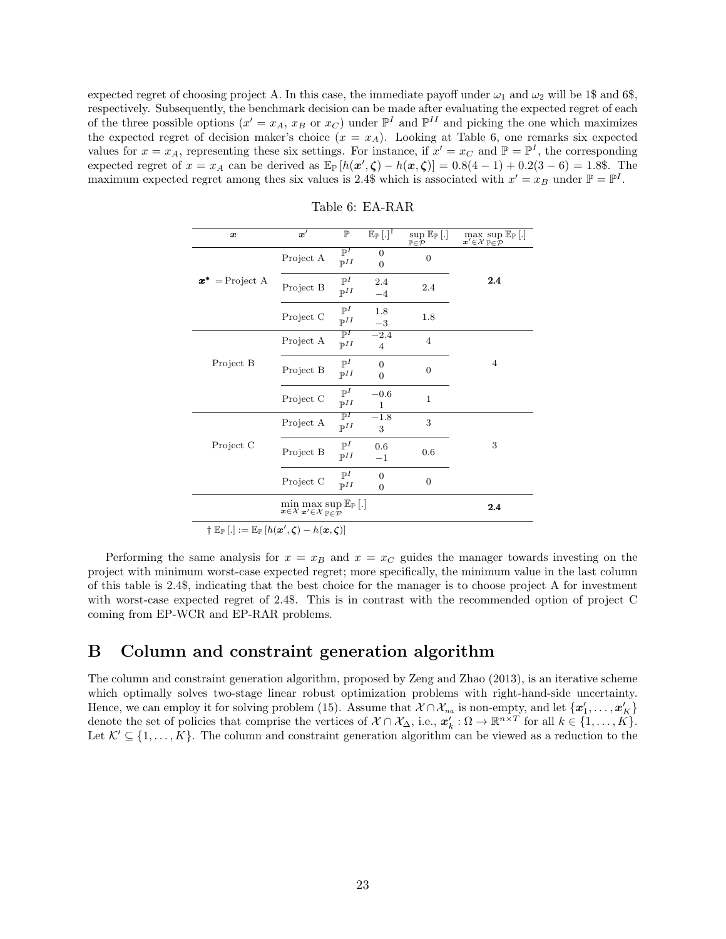expected regret of choosing project A. In this case, the immediate payoff under  $\omega_1$  and  $\omega_2$  will be 1\$ and 6\$, respectively. Subsequently, the benchmark decision can be made after evaluating the expected regret of each of the three possible options  $(x' = x_A, x_B \text{ or } x_C)$  under  $\mathbb{P}^I$  and  $\mathbb{P}^{II}$  and picking the one which maximizes the expected regret of decision maker's choice  $(x = x_A)$ . Looking at Table 6, one remarks six expected values for  $x = x_A$ , representing these six settings. For instance, if  $x' = x_C$  and  $\mathbb{P} = \mathbb{P}^I$ , the corresponding expected regret of  $x = x_A$  can be derived as  $\mathbb{E}_{\mathbb{P}}[h(x', \zeta) - h(x, \zeta)] = 0.8(4 - 1) + 0.2(3 - 6) = 1.8$ . The maximum expected regret among thes six values is 2.4\$ which is associated with  $x' = x_B$  under  $\mathbb{P} = \mathbb{P}^I$ .

| $\boldsymbol{x}$                                                                                                                                                          | $\boldsymbol{x}'$ | $\mathbb{P}$                                   | $\mathbb{E}_{\mathbb{P}}\left[ . \right]^{\dagger}$ | sup $\mathbb{E}_{\mathbb{P}}\left[ . \right]$<br>$\mathbb{P}{\in}\mathcal{P}$ | $\max_{\mathbf{x}'\in\mathcal{X}}\sup_{\mathbb{P}\in\mathcal{P}}\mathbb{E}_{\mathbb{P}}\left[.\right]$ |
|---------------------------------------------------------------------------------------------------------------------------------------------------------------------------|-------------------|------------------------------------------------|-----------------------------------------------------|-------------------------------------------------------------------------------|--------------------------------------------------------------------------------------------------------|
|                                                                                                                                                                           | Project A         | $\overline{\mathbb{P}^I}$<br>$\mathbb{P}^{II}$ | $\overline{0}$<br>$\overline{0}$                    | $\mathbf{0}$                                                                  |                                                                                                        |
| $=$ Project A<br>$x^*$                                                                                                                                                    | Project B         | $\mathbb{P}^I$<br>$\mathbb{P}^{II}$            | 2.4<br>$-4$                                         | 2.4                                                                           | 2.4                                                                                                    |
|                                                                                                                                                                           | Project C         | $\mathbb{P}^I$<br>$\mathbb{P}^{II}$            | 1.8<br>$-3$                                         | 1.8                                                                           |                                                                                                        |
|                                                                                                                                                                           | Project A         | $\mathbb{P}^I$<br>$\mathbb{P}^{II}$            | $-2.4$<br>$\overline{4}$                            | $\overline{4}$                                                                |                                                                                                        |
| Project B                                                                                                                                                                 | Project B         | $\mathbb{P}^I$<br>$\mathbb{P}^{II}$            | $\overline{0}$<br>$\overline{0}$                    | $\overline{0}$                                                                | $\overline{4}$                                                                                         |
|                                                                                                                                                                           | Project C         | $\mathbb{P}^I$<br>$\mathbb{P}^{II}$            | $-0.6$<br>$\mathbf 1$                               | $\mathbf{1}$                                                                  |                                                                                                        |
|                                                                                                                                                                           | Project A         | $\mathbb{P}^I$<br>$\mathbb{P}^{II}$            | $-1.8$<br>3                                         | 3                                                                             |                                                                                                        |
| Project C                                                                                                                                                                 | Project B         | $\mathbb{P}^I$<br>$\mathbb{P}^{II}$            | 0.6<br>$^{-1}$                                      | 0.6                                                                           | 3                                                                                                      |
|                                                                                                                                                                           | Project C         | $\mathbb{P}^I$<br>$\mathbb{P}^{II}$            | $\overline{0}$<br>$\overline{0}$                    | $\mathbf{0}$                                                                  |                                                                                                        |
|                                                                                                                                                                           |                   | $2.4\,$                                        |                                                     |                                                                               |                                                                                                        |
| $\dagger \mathbb{E}_{\mathbb{P}}\left[ . \right] := \mathbb{E}_{\mathbb{P}}\left[ h(\boldsymbol{x}', \boldsymbol{\zeta}) - h(\boldsymbol{x}, \boldsymbol{\zeta}) \right]$ |                   |                                                |                                                     |                                                                               |                                                                                                        |

Table 6: EA-RAR

Performing the same analysis for  $x = x_B$  and  $x = x_C$  guides the manager towards investing on the project with minimum worst-case expected regret; more specifically, the minimum value in the last column of this table is 2.4\$, indicating that the best choice for the manager is to choose project A for investment with worst-case expected regret of 2.4\$. This is in contrast with the recommended option of project C coming from EP-WCR and EP-RAR problems.

## B Column and constraint generation algorithm

The column and constraint generation algorithm, proposed by Zeng and Zhao (2013), is an iterative scheme which optimally solves two-stage linear robust optimization problems with right-hand-side uncertainty. Hence, we can employ it for solving problem (15). Assume that  $\mathcal{X} \cap \mathcal{X}_{na}$  is non-empty, and let  $\{\boldsymbol{x}'_1, \dots, \boldsymbol{x}'_K\}$ denote the set of policies that comprise the vertices of  $X \cap X_{\Delta}$ , i.e.,  $x'_{k} : \Omega \to \mathbb{R}^{n \times T}$  for all  $k \in \{1, ..., K\}$ . Let  $\mathcal{K}' \subseteq \{1, \ldots, K\}$ . The column and constraint generation algorithm can be viewed as a reduction to the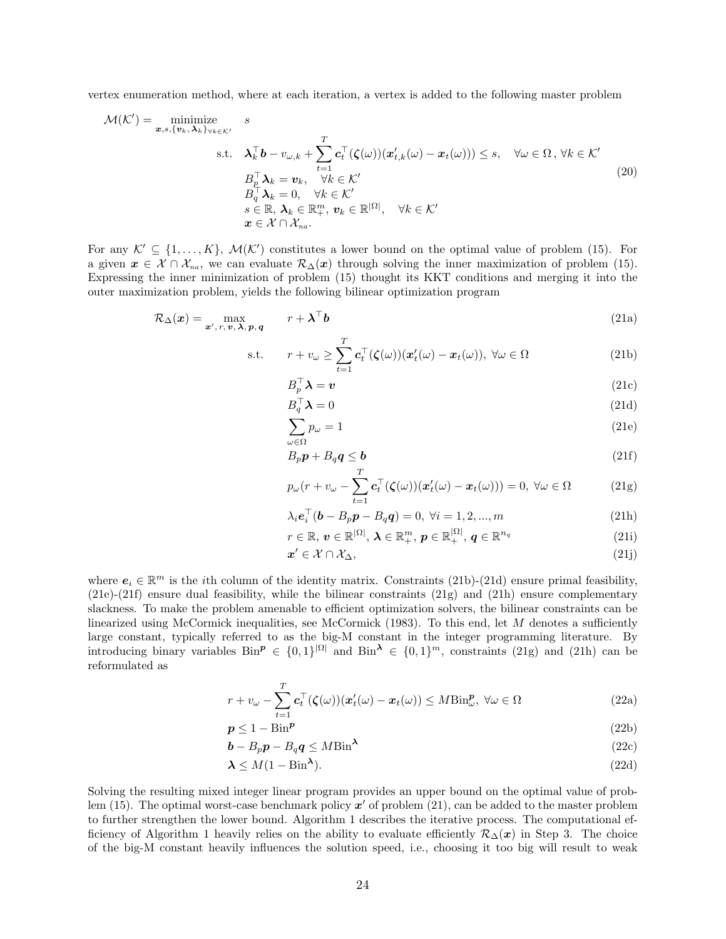vertex enumeration method, where at each iteration, a vertex is added to the following master problem

$$
\mathcal{M}(\mathcal{K}') = \min_{\mathbf{x}, s, \{\mathbf{v}_k, \mathbf{\lambda}_k\}_{\forall k \in \mathcal{K}'}} s
$$
\n
$$
\text{s.t.} \quad \mathbf{\lambda}_k^\top \mathbf{b} - v_{\omega, k} + \sum_{t=1}^T \mathbf{c}_t^\top (\boldsymbol{\zeta}(\omega)) (\mathbf{x}'_{t, k}(\omega) - \mathbf{x}_t(\omega))) \le s, \quad \forall \omega \in \Omega, \forall k \in \mathcal{K}'
$$
\n
$$
B_\varrho^\top \mathbf{\lambda}_k = \mathbf{v}_k, \quad \forall k \in \mathcal{K}'
$$
\n
$$
B_\varrho^\top \mathbf{\lambda}_k = 0, \quad \forall k \in \mathcal{K}'
$$
\n
$$
s \in \mathbb{R}, \mathbf{\lambda}_k \in \mathbb{R}_+^m, \mathbf{v}_k \in \mathbb{R}^{|\Omega|}, \quad \forall k \in \mathcal{K}'
$$
\n
$$
\mathbf{x} \in \mathcal{K} \cap \mathcal{X}_{na}.
$$
\n(20)

For any  $\mathcal{K}' \subseteq \{1, ..., K\}$ ,  $\mathcal{M}(\mathcal{K}')$  constitutes a lower bound on the optimal value of problem (15). For a given  $x \in \mathcal{X} \cap \mathcal{X}_{na}$ , we can evaluate  $\mathcal{R}_{\Delta}(x)$  through solving the inner maximization of problem (15). Expressing the inner minimization of problem (15) thought its KKT conditions and merging it into the outer maximization problem, yields the following bilinear optimization program

$$
\mathcal{R}_{\Delta}(\boldsymbol{x}) = \max_{\boldsymbol{x}', r, \boldsymbol{v}, \boldsymbol{\lambda}, \boldsymbol{p}, \boldsymbol{q}} \qquad r + \boldsymbol{\lambda}^{\top} \boldsymbol{b}
$$
(21a)

s.t. 
$$
r + v_{\omega} \ge \sum_{t=1}^{T} \mathbf{c}_t^{\top}(\boldsymbol{\zeta}(\omega)) (\boldsymbol{x}'_t(\omega) - \boldsymbol{x}_t(\omega)), \ \forall \omega \in \Omega
$$
 (21b)

$$
B_p^\top \boldsymbol{\lambda} = \boldsymbol{v} \tag{21c}
$$

$$
B_q^\top \boldsymbol{\lambda} = 0 \tag{21d}
$$

$$
\sum_{\omega \in \Omega} p_{\omega} = 1 \tag{21e}
$$

$$
B_p p + B_q q \le b \tag{21f}
$$

$$
p_{\omega}(r + v_{\omega} - \sum_{t=1}^{T} \mathbf{c}_t^{\top}(\boldsymbol{\zeta}(\omega))(\boldsymbol{x}'_t(\omega) - \boldsymbol{x}_t(\omega))) = 0, \ \forall \omega \in \Omega \tag{21g}
$$

$$
\lambda_i e_i^{\top} (\mathbf{b} - B_p \mathbf{p} - B_q \mathbf{q}) = 0, \ \forall i = 1, 2, ..., m
$$
 (21h)

$$
r \in \mathbb{R}, \, \boldsymbol{v} \in \mathbb{R}^{|\Omega|}, \, \boldsymbol{\lambda} \in \mathbb{R}^{m}_{+}, \, \boldsymbol{p} \in \mathbb{R}^{|\Omega|}_{+}, \, \boldsymbol{q} \in \mathbb{R}^{n_{q}} \tag{21}
$$

$$
x' \in \mathcal{X} \cap \mathcal{X}_{\Delta},\tag{21j}
$$

where  $e_i \in \mathbb{R}^m$  is the *i*th column of the identity matrix. Constraints (21b)-(21d) ensure primal feasibility,  $(21e)$ - $(21f)$  ensure dual feasibility, while the bilinear constraints  $(21g)$  and  $(21h)$  ensure complementary slackness. To make the problem amenable to efficient optimization solvers, the bilinear constraints can be linearized using McCormick inequalities, see McCormick (1983). To this end, let  $M$  denotes a sufficiently large constant, typically referred to as the big-M constant in the integer programming literature. By introducing binary variables  $\text{Bin}^p \in \{0,1\}^{|\Omega|}$  and  $\text{Bin}^{\lambda} \in \{0,1\}^m$ , constraints (21g) and (21h) can be reformulated as

$$
r + v_{\omega} - \sum_{t=1}^{T} \mathbf{c}_t^{\top} (\boldsymbol{\zeta}(\omega)) (\boldsymbol{x}_t'(\omega) - \boldsymbol{x}_t(\omega)) \leq M \text{Bin}_{\omega}^{\boldsymbol{p}}, \ \forall \omega \in \Omega \tag{22a}
$$

$$
p \le 1 - \text{Bin}^p \tag{22b}
$$

$$
\mathbf{b} - B_p \mathbf{p} - B_q \mathbf{q} \le M \text{Bin}^{\lambda} \tag{22c}
$$

$$
\lambda \le M(1 - \text{Bin}^{\lambda}).\tag{22d}
$$

Solving the resulting mixed integer linear program provides an upper bound on the optimal value of problem (15). The optimal worst-case benchmark policy  $x'$  of problem (21), can be added to the master problem to further strengthen the lower bound. Algorithm 1 describes the iterative process. The computational efficiency of Algorithm 1 heavily relies on the ability to evaluate efficiently  $\mathcal{R}_{\Delta}(\boldsymbol{x})$  in Step 3. The choice of the big-M constant heavily influences the solution speed, i.e., choosing it too big will result to weak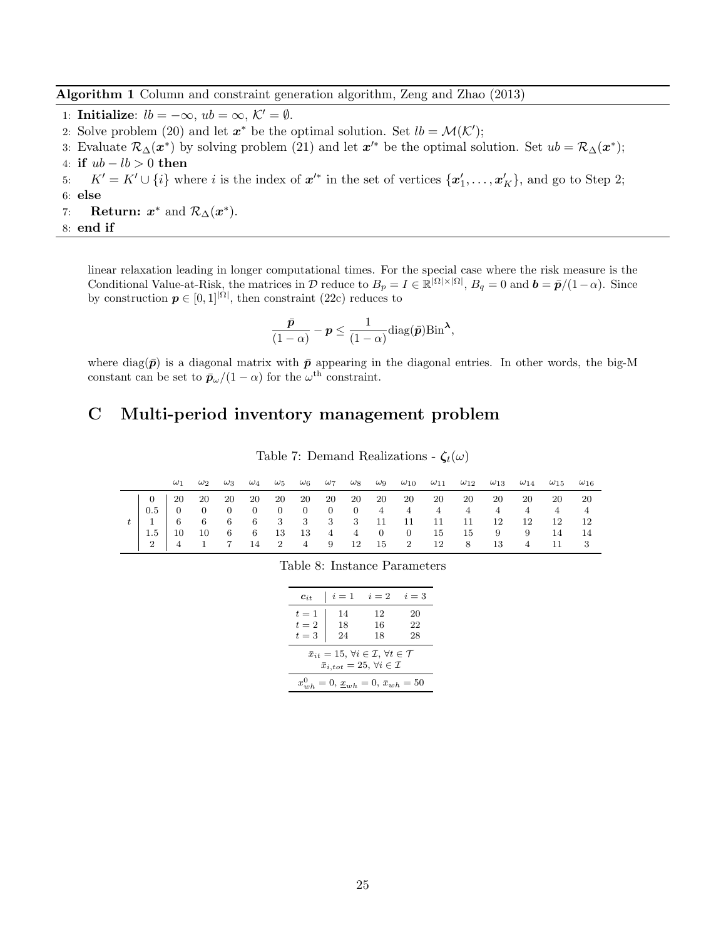Algorithm 1 Column and constraint generation algorithm, Zeng and Zhao (2013)

- 1: Initialize:  $lb = -\infty$ ,  $ub = \infty$ ,  $\mathcal{K}' = \emptyset$ .
- 2: Solve problem (20) and let  $x^*$  be the optimal solution. Set  $lb = \mathcal{M}(\mathcal{K}')$ ;
- 3: Evaluate  $\mathcal{R}_{\Delta}(x^*)$  by solving problem (21) and let  $x'^*$  be the optimal solution. Set  $ub = \mathcal{R}_{\Delta}(x^*)$ ;
- 4: if  $ub lb > 0$  then
- 5:  $K' = K' \cup \{i\}$  where i is the index of  $x'^*$  in the set of vertices  $\{x'_1, \ldots, x'_K\}$ , and go to Step 2; 6: else
- 7: **Return:**  $x^*$  and  $\mathcal{R}_{\Delta}(x^*)$ .

8: end if

linear relaxation leading in longer computational times. For the special case where the risk measure is the Conditional Value-at-Risk, the matrices in D reduce to  $B_p = I \in \mathbb{R}^{|\Omega| \times |\Omega|}$ ,  $B_q = 0$  and  $b = \bar{p}/(1-\alpha)$ . Since by construction  $p \in [0,1]^{|\Omega|}$ , then constraint (22c) reduces to

$$
\frac{\bar{\bm{p}}}{(1-\alpha)} - \bm{p} \le \frac{1}{(1-\alpha)} \text{diag}(\bar{\bm{p}}) \text{Bin}^{\bm{\lambda}},
$$

where diag( $\bar{p}$ ) is a diagonal matrix with  $\bar{p}$  appearing in the diagonal entries. In other words, the big-M constant can be set to  $\bar{p}_{\omega}/(1-\alpha)$  for the  $\omega^{\text{th}}$  constraint.

## C Multi-period inventory management problem

|  |  |  |  |  |  |  |  | $\omega_1$ $\omega_2$ $\omega_3$ $\omega_4$ $\omega_5$ $\omega_6$ $\omega_7$ $\omega_8$ $\omega_9$ $\omega_{10}$ $\omega_{11}$ $\omega_{12}$ $\omega_{13}$ $\omega_{14}$ $\omega_{15}$ $\omega_{16}$ |  |
|--|--|--|--|--|--|--|--|------------------------------------------------------------------------------------------------------------------------------------------------------------------------------------------------------|--|
|  |  |  |  |  |  |  |  |                                                                                                                                                                                                      |  |
|  |  |  |  |  |  |  |  |                                                                                                                                                                                                      |  |
|  |  |  |  |  |  |  |  | $t$ 1 6 6 6 6 3 3 3 3 3 11 11 11 11 12 12 12 12                                                                                                                                                      |  |
|  |  |  |  |  |  |  |  | 10 10 6 6 13 13 4 4 0 0 15 15 9 9 14 14                                                                                                                                                              |  |
|  |  |  |  |  |  |  |  | 2 4 1 7 14 2 4 9 12 15 2 12 8 13 4 11 3                                                                                                                                                              |  |

Table 7: Demand Realizations -  $\zeta_t(\omega)$ 

Table 8: Instance Parameters

| $c_{it}$                                                                                                                         | $i=1$          | $i=2$          | $i=3$          |  |  |  |  |  |
|----------------------------------------------------------------------------------------------------------------------------------|----------------|----------------|----------------|--|--|--|--|--|
| $t=1$<br>$t=2$<br>$t=3$                                                                                                          | 14<br>18<br>24 | 12<br>16<br>18 | 20<br>22<br>28 |  |  |  |  |  |
| $\bar{x}_{it} = 15, \forall i \in \mathcal{I}, \forall t \in \mathcal{T}$<br>$\bar{x}_{i,tot} = 25, \,\forall i \in \mathcal{I}$ |                |                |                |  |  |  |  |  |
| $x_{wh}^0 = 0, \underline{x}_{wh} = 0, \bar{x}_{wh} = 50$                                                                        |                |                |                |  |  |  |  |  |